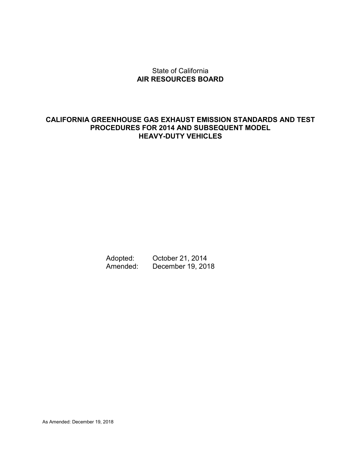#### State of California **AIR RESOURCES BOARD**

#### **CALIFORNIA GREENHOUSE GAS EXHAUST EMISSION STANDARDS AND TEST PROCEDURES FOR 2014 AND SUBSEQUENT MODEL HEAVY-DUTY VEHICLES**

Adopted: October 21, 2014 Amended: December 19, 2018

As Amended: December 19, 2018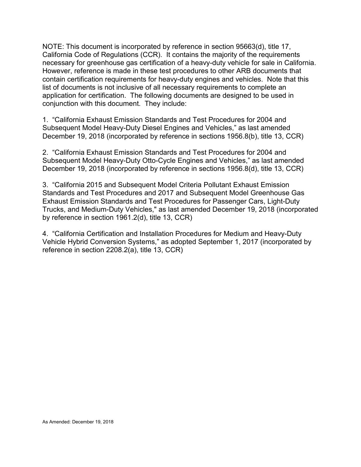NOTE: This document is incorporated by reference in section 95663(d), title 17, California Code of Regulations (CCR). It contains the majority of the requirements necessary for greenhouse gas certification of a heavy-duty vehicle for sale in California. However, reference is made in these test procedures to other ARB documents that contain certification requirements for heavy-duty engines and vehicles. Note that this list of documents is not inclusive of all necessary requirements to complete an application for certification. The following documents are designed to be used in conjunction with this document. They include:

1. "California Exhaust Emission Standards and Test Procedures for 2004 and Subsequent Model Heavy-Duty Diesel Engines and Vehicles," as last amended December 19, 2018 (incorporated by reference in sections 1956.8(b), title 13, CCR)

2. "California Exhaust Emission Standards and Test Procedures for 2004 and Subsequent Model Heavy-Duty Otto-Cycle Engines and Vehicles," as last amended December 19, 2018 (incorporated by reference in sections 1956.8(d), title 13, CCR)

3. "California 2015 and Subsequent Model Criteria Pollutant Exhaust Emission Standards and Test Procedures and 2017 and Subsequent Model Greenhouse Gas Exhaust Emission Standards and Test Procedures for Passenger Cars, Light-Duty Trucks, and Medium-Duty Vehicles," as last amended December 19, 2018 (incorporated by reference in section 1961.2(d), title 13, CCR)

4. "California Certification and Installation Procedures for Medium and Heavy-Duty Vehicle Hybrid Conversion Systems," as adopted September 1, 2017 (incorporated by reference in section 2208.2(a), title 13, CCR)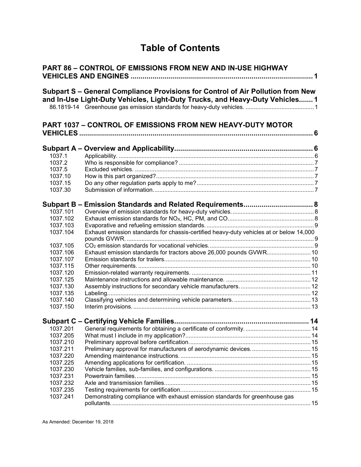# **Table of Contents**

|          | <b>PART 86 - CONTROL OF EMISSIONS FROM NEW AND IN-USE HIGHWAY</b>                                                                                               |  |
|----------|-----------------------------------------------------------------------------------------------------------------------------------------------------------------|--|
|          | Subpart S – General Compliance Provisions for Control of Air Pollution from New<br>and In-Use Light-Duty Vehicles, Light-Duty Trucks, and Heavy-Duty Vehicles 1 |  |
|          | <b>PART 1037 - CONTROL OF EMISSIONS FROM NEW HEAVY-DUTY MOTOR</b>                                                                                               |  |
|          |                                                                                                                                                                 |  |
| 1037.1   |                                                                                                                                                                 |  |
| 1037.2   |                                                                                                                                                                 |  |
| 1037.5   |                                                                                                                                                                 |  |
| 1037.10  |                                                                                                                                                                 |  |
| 1037.15  |                                                                                                                                                                 |  |
| 1037.30  |                                                                                                                                                                 |  |
|          |                                                                                                                                                                 |  |
| 1037.101 |                                                                                                                                                                 |  |
| 1037.102 |                                                                                                                                                                 |  |
| 1037.103 |                                                                                                                                                                 |  |
| 1037.104 | Exhaust emission standards for chassis-certified heavy-duty vehicles at or below 14,000                                                                         |  |
|          |                                                                                                                                                                 |  |
| 1037.105 |                                                                                                                                                                 |  |
| 1037.106 | Exhaust emission standards for tractors above 26,000 pounds GVWR 10                                                                                             |  |
| 1037.107 |                                                                                                                                                                 |  |
| 1037.115 |                                                                                                                                                                 |  |
| 1037.120 |                                                                                                                                                                 |  |
| 1037.125 |                                                                                                                                                                 |  |
| 1037.130 |                                                                                                                                                                 |  |
| 1037.135 |                                                                                                                                                                 |  |
| 1037.140 |                                                                                                                                                                 |  |
| 1037.150 |                                                                                                                                                                 |  |
|          |                                                                                                                                                                 |  |
|          |                                                                                                                                                                 |  |
| 1037.205 |                                                                                                                                                                 |  |
| 1037.210 |                                                                                                                                                                 |  |
| 1037.211 |                                                                                                                                                                 |  |
| 1037.220 |                                                                                                                                                                 |  |
| 1037.225 |                                                                                                                                                                 |  |
| 1037.230 |                                                                                                                                                                 |  |
| 1037.231 |                                                                                                                                                                 |  |
| 1037.232 |                                                                                                                                                                 |  |
| 1037.235 |                                                                                                                                                                 |  |
| 1037.241 | Demonstrating compliance with exhaust emission standards for greenhouse gas                                                                                     |  |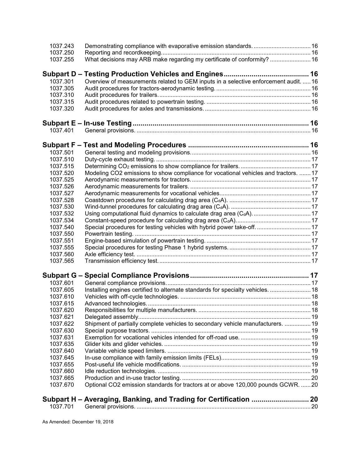| 1037.243 |                                                                                      |  |
|----------|--------------------------------------------------------------------------------------|--|
| 1037.250 |                                                                                      |  |
| 1037.255 | What decisions may ARB make regarding my certificate of conformity?  16              |  |
|          |                                                                                      |  |
| 1037.301 | Overview of measurements related to GEM inputs in a selective enforcement audit.  16 |  |
| 1037.305 |                                                                                      |  |
| 1037.310 |                                                                                      |  |
| 1037.315 |                                                                                      |  |
| 1037.320 |                                                                                      |  |
|          |                                                                                      |  |
| 1037.401 |                                                                                      |  |
|          |                                                                                      |  |
| 1037.501 |                                                                                      |  |
| 1037.510 |                                                                                      |  |
| 1037.515 |                                                                                      |  |
| 1037.520 | Modeling CO2 emissions to show compliance for vocational vehicles and tractors.  17  |  |
| 1037.525 |                                                                                      |  |
| 1037.526 |                                                                                      |  |
| 1037.527 |                                                                                      |  |
| 1037.528 |                                                                                      |  |
| 1037.530 |                                                                                      |  |
| 1037.532 | Using computational fluid dynamics to calculate drag area (C <sub>d</sub> A) 17      |  |
| 1037.534 |                                                                                      |  |
| 1037.540 | Special procedures for testing vehicles with hybrid power take-off 17                |  |
| 1037.550 |                                                                                      |  |
| 1037.551 |                                                                                      |  |
| 1037.555 |                                                                                      |  |
| 1037.560 |                                                                                      |  |
| 1037.565 |                                                                                      |  |
|          |                                                                                      |  |
|          |                                                                                      |  |
| 1037.601 |                                                                                      |  |
| 1037.605 | Installing engines certified to alternate standards for specialty vehicles.  18      |  |
| 1037.610 |                                                                                      |  |
| 1037.615 |                                                                                      |  |
| 1037.620 |                                                                                      |  |
| 1037.621 |                                                                                      |  |
| 1037.622 | Shipment of partially complete vehicles to secondary vehicle manufacturers.  19      |  |
| 1037.630 |                                                                                      |  |
| 1037.631 |                                                                                      |  |
| 1037.635 |                                                                                      |  |
| 1037.640 |                                                                                      |  |
| 1037.645 |                                                                                      |  |
| 1037.655 |                                                                                      |  |
| 1037.660 |                                                                                      |  |
| 1037.665 |                                                                                      |  |
| 1037.670 | Optional CO2 emission standards for tractors at or above 120,000 pounds GCWR. 20     |  |
|          |                                                                                      |  |
| 1037.701 |                                                                                      |  |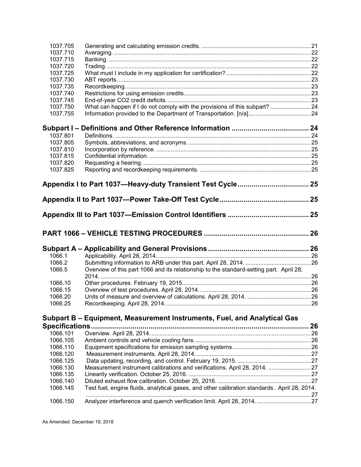| 1037.715<br>1037.720<br>1037.725<br>1037.730<br>1037.735<br>1037.740<br>1037.745<br>What can happen if I do not comply with the provisions of this subpart?24<br>1037.750<br>1037.755<br>1037.801<br>1037.805<br>1037.810<br>1037.815<br>1037.820<br>1037.825<br>1066.1<br>1066.2<br>Overview of this part 1066 and its relationship to the standard-setting part. April 28,<br>1066.5<br>1066.10<br>1066.15<br>1066.20<br>1066.25<br>Subpart B - Equipment, Measurement Instruments, Fuel, and Analytical Gas<br>1066.101<br>1066.105<br>1066.110<br>1066.120<br>1066.125<br>Measurement instrument calibrations and verifications. April 28, 2014. 27<br>1066.130<br>1066.135<br>1066.140<br>Test fuel, engine fluids, analytical gases, and other calibration standards. April 28, 2014.<br>1066.145<br>Analyzer interference and quench verification limit. April 28, 2014.  27<br>1066.150 | 1037.705 |    |
|-------------------------------------------------------------------------------------------------------------------------------------------------------------------------------------------------------------------------------------------------------------------------------------------------------------------------------------------------------------------------------------------------------------------------------------------------------------------------------------------------------------------------------------------------------------------------------------------------------------------------------------------------------------------------------------------------------------------------------------------------------------------------------------------------------------------------------------------------------------------------------------------------|----------|----|
|                                                                                                                                                                                                                                                                                                                                                                                                                                                                                                                                                                                                                                                                                                                                                                                                                                                                                                 | 1037.710 |    |
|                                                                                                                                                                                                                                                                                                                                                                                                                                                                                                                                                                                                                                                                                                                                                                                                                                                                                                 |          |    |
|                                                                                                                                                                                                                                                                                                                                                                                                                                                                                                                                                                                                                                                                                                                                                                                                                                                                                                 |          |    |
|                                                                                                                                                                                                                                                                                                                                                                                                                                                                                                                                                                                                                                                                                                                                                                                                                                                                                                 |          |    |
|                                                                                                                                                                                                                                                                                                                                                                                                                                                                                                                                                                                                                                                                                                                                                                                                                                                                                                 |          |    |
|                                                                                                                                                                                                                                                                                                                                                                                                                                                                                                                                                                                                                                                                                                                                                                                                                                                                                                 |          |    |
|                                                                                                                                                                                                                                                                                                                                                                                                                                                                                                                                                                                                                                                                                                                                                                                                                                                                                                 |          |    |
|                                                                                                                                                                                                                                                                                                                                                                                                                                                                                                                                                                                                                                                                                                                                                                                                                                                                                                 |          |    |
|                                                                                                                                                                                                                                                                                                                                                                                                                                                                                                                                                                                                                                                                                                                                                                                                                                                                                                 |          |    |
|                                                                                                                                                                                                                                                                                                                                                                                                                                                                                                                                                                                                                                                                                                                                                                                                                                                                                                 |          |    |
|                                                                                                                                                                                                                                                                                                                                                                                                                                                                                                                                                                                                                                                                                                                                                                                                                                                                                                 |          |    |
|                                                                                                                                                                                                                                                                                                                                                                                                                                                                                                                                                                                                                                                                                                                                                                                                                                                                                                 |          |    |
|                                                                                                                                                                                                                                                                                                                                                                                                                                                                                                                                                                                                                                                                                                                                                                                                                                                                                                 |          |    |
|                                                                                                                                                                                                                                                                                                                                                                                                                                                                                                                                                                                                                                                                                                                                                                                                                                                                                                 |          |    |
|                                                                                                                                                                                                                                                                                                                                                                                                                                                                                                                                                                                                                                                                                                                                                                                                                                                                                                 |          |    |
|                                                                                                                                                                                                                                                                                                                                                                                                                                                                                                                                                                                                                                                                                                                                                                                                                                                                                                 |          |    |
|                                                                                                                                                                                                                                                                                                                                                                                                                                                                                                                                                                                                                                                                                                                                                                                                                                                                                                 |          |    |
|                                                                                                                                                                                                                                                                                                                                                                                                                                                                                                                                                                                                                                                                                                                                                                                                                                                                                                 |          |    |
|                                                                                                                                                                                                                                                                                                                                                                                                                                                                                                                                                                                                                                                                                                                                                                                                                                                                                                 |          |    |
|                                                                                                                                                                                                                                                                                                                                                                                                                                                                                                                                                                                                                                                                                                                                                                                                                                                                                                 |          |    |
|                                                                                                                                                                                                                                                                                                                                                                                                                                                                                                                                                                                                                                                                                                                                                                                                                                                                                                 |          |    |
|                                                                                                                                                                                                                                                                                                                                                                                                                                                                                                                                                                                                                                                                                                                                                                                                                                                                                                 |          |    |
|                                                                                                                                                                                                                                                                                                                                                                                                                                                                                                                                                                                                                                                                                                                                                                                                                                                                                                 |          |    |
|                                                                                                                                                                                                                                                                                                                                                                                                                                                                                                                                                                                                                                                                                                                                                                                                                                                                                                 |          |    |
|                                                                                                                                                                                                                                                                                                                                                                                                                                                                                                                                                                                                                                                                                                                                                                                                                                                                                                 |          |    |
|                                                                                                                                                                                                                                                                                                                                                                                                                                                                                                                                                                                                                                                                                                                                                                                                                                                                                                 |          |    |
|                                                                                                                                                                                                                                                                                                                                                                                                                                                                                                                                                                                                                                                                                                                                                                                                                                                                                                 |          |    |
|                                                                                                                                                                                                                                                                                                                                                                                                                                                                                                                                                                                                                                                                                                                                                                                                                                                                                                 |          |    |
|                                                                                                                                                                                                                                                                                                                                                                                                                                                                                                                                                                                                                                                                                                                                                                                                                                                                                                 |          |    |
|                                                                                                                                                                                                                                                                                                                                                                                                                                                                                                                                                                                                                                                                                                                                                                                                                                                                                                 |          |    |
|                                                                                                                                                                                                                                                                                                                                                                                                                                                                                                                                                                                                                                                                                                                                                                                                                                                                                                 |          |    |
|                                                                                                                                                                                                                                                                                                                                                                                                                                                                                                                                                                                                                                                                                                                                                                                                                                                                                                 |          |    |
|                                                                                                                                                                                                                                                                                                                                                                                                                                                                                                                                                                                                                                                                                                                                                                                                                                                                                                 |          | 26 |
|                                                                                                                                                                                                                                                                                                                                                                                                                                                                                                                                                                                                                                                                                                                                                                                                                                                                                                 |          |    |
|                                                                                                                                                                                                                                                                                                                                                                                                                                                                                                                                                                                                                                                                                                                                                                                                                                                                                                 |          |    |
|                                                                                                                                                                                                                                                                                                                                                                                                                                                                                                                                                                                                                                                                                                                                                                                                                                                                                                 |          |    |
|                                                                                                                                                                                                                                                                                                                                                                                                                                                                                                                                                                                                                                                                                                                                                                                                                                                                                                 |          |    |
|                                                                                                                                                                                                                                                                                                                                                                                                                                                                                                                                                                                                                                                                                                                                                                                                                                                                                                 |          |    |
|                                                                                                                                                                                                                                                                                                                                                                                                                                                                                                                                                                                                                                                                                                                                                                                                                                                                                                 |          |    |
|                                                                                                                                                                                                                                                                                                                                                                                                                                                                                                                                                                                                                                                                                                                                                                                                                                                                                                 |          |    |
|                                                                                                                                                                                                                                                                                                                                                                                                                                                                                                                                                                                                                                                                                                                                                                                                                                                                                                 |          |    |
|                                                                                                                                                                                                                                                                                                                                                                                                                                                                                                                                                                                                                                                                                                                                                                                                                                                                                                 |          |    |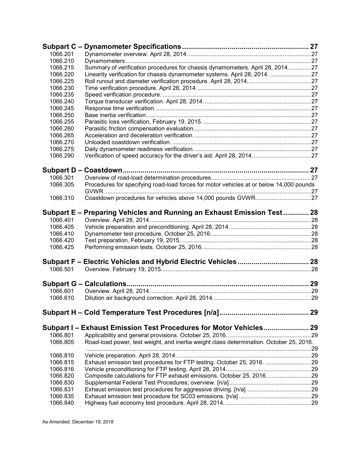| 1066.201<br>1066.210<br>Summary of verification procedures for chassis dynamometers. April 28, 201427<br>1066.215<br>1066.220<br>Linearity verification for chassis dynamometer systems. April 28, 2014. 27<br>1066.225<br>1066.230<br>1066.235<br>1066.240<br>1066.245<br>1066.250<br>1066.255<br>1066.260<br>1066.265<br>1066.270<br>1066.275<br>1066.290<br>1066.301<br>Procedures for specifying road-load forces for motor vehicles at or below 14,000 pounds<br>1066.305<br>1066.310<br>Subpart E - Preparing Vehicles and Running an Exhaust Emission Test 28<br>1066.401<br>1066.405<br>1066.410<br>1066.420<br>1066.425<br>1066.501<br>1066.601<br>1066.610<br>Subpart I - Exhaust Emission Test Procedures for Motor Vehicles 29<br>1066.801<br>Road-load power, test weight, and inertia weight class determination. October 25, 2016.<br>1066.805<br>1066.810<br>Exhaust emission test procedures for FTP testing. October 25, 2016. 29<br>1066.815<br>1066.816<br>1066.820<br>1066.830<br>1066.831<br>1066.835<br>1066.840 | Subpart C - |  |
|-----------------------------------------------------------------------------------------------------------------------------------------------------------------------------------------------------------------------------------------------------------------------------------------------------------------------------------------------------------------------------------------------------------------------------------------------------------------------------------------------------------------------------------------------------------------------------------------------------------------------------------------------------------------------------------------------------------------------------------------------------------------------------------------------------------------------------------------------------------------------------------------------------------------------------------------------------------------------------------------------------------------------------------------|-------------|--|
|                                                                                                                                                                                                                                                                                                                                                                                                                                                                                                                                                                                                                                                                                                                                                                                                                                                                                                                                                                                                                                         |             |  |
| Composite calculations for FTP exhaust emissions. October 25, 2016.  29                                                                                                                                                                                                                                                                                                                                                                                                                                                                                                                                                                                                                                                                                                                                                                                                                                                                                                                                                                 |             |  |
|                                                                                                                                                                                                                                                                                                                                                                                                                                                                                                                                                                                                                                                                                                                                                                                                                                                                                                                                                                                                                                         |             |  |
|                                                                                                                                                                                                                                                                                                                                                                                                                                                                                                                                                                                                                                                                                                                                                                                                                                                                                                                                                                                                                                         |             |  |
|                                                                                                                                                                                                                                                                                                                                                                                                                                                                                                                                                                                                                                                                                                                                                                                                                                                                                                                                                                                                                                         |             |  |
|                                                                                                                                                                                                                                                                                                                                                                                                                                                                                                                                                                                                                                                                                                                                                                                                                                                                                                                                                                                                                                         |             |  |
|                                                                                                                                                                                                                                                                                                                                                                                                                                                                                                                                                                                                                                                                                                                                                                                                                                                                                                                                                                                                                                         |             |  |
|                                                                                                                                                                                                                                                                                                                                                                                                                                                                                                                                                                                                                                                                                                                                                                                                                                                                                                                                                                                                                                         |             |  |
|                                                                                                                                                                                                                                                                                                                                                                                                                                                                                                                                                                                                                                                                                                                                                                                                                                                                                                                                                                                                                                         |             |  |
|                                                                                                                                                                                                                                                                                                                                                                                                                                                                                                                                                                                                                                                                                                                                                                                                                                                                                                                                                                                                                                         |             |  |
|                                                                                                                                                                                                                                                                                                                                                                                                                                                                                                                                                                                                                                                                                                                                                                                                                                                                                                                                                                                                                                         |             |  |
|                                                                                                                                                                                                                                                                                                                                                                                                                                                                                                                                                                                                                                                                                                                                                                                                                                                                                                                                                                                                                                         |             |  |
|                                                                                                                                                                                                                                                                                                                                                                                                                                                                                                                                                                                                                                                                                                                                                                                                                                                                                                                                                                                                                                         |             |  |
|                                                                                                                                                                                                                                                                                                                                                                                                                                                                                                                                                                                                                                                                                                                                                                                                                                                                                                                                                                                                                                         |             |  |
|                                                                                                                                                                                                                                                                                                                                                                                                                                                                                                                                                                                                                                                                                                                                                                                                                                                                                                                                                                                                                                         |             |  |
|                                                                                                                                                                                                                                                                                                                                                                                                                                                                                                                                                                                                                                                                                                                                                                                                                                                                                                                                                                                                                                         |             |  |
|                                                                                                                                                                                                                                                                                                                                                                                                                                                                                                                                                                                                                                                                                                                                                                                                                                                                                                                                                                                                                                         |             |  |
|                                                                                                                                                                                                                                                                                                                                                                                                                                                                                                                                                                                                                                                                                                                                                                                                                                                                                                                                                                                                                                         |             |  |
|                                                                                                                                                                                                                                                                                                                                                                                                                                                                                                                                                                                                                                                                                                                                                                                                                                                                                                                                                                                                                                         |             |  |
|                                                                                                                                                                                                                                                                                                                                                                                                                                                                                                                                                                                                                                                                                                                                                                                                                                                                                                                                                                                                                                         |             |  |
|                                                                                                                                                                                                                                                                                                                                                                                                                                                                                                                                                                                                                                                                                                                                                                                                                                                                                                                                                                                                                                         |             |  |
|                                                                                                                                                                                                                                                                                                                                                                                                                                                                                                                                                                                                                                                                                                                                                                                                                                                                                                                                                                                                                                         |             |  |
|                                                                                                                                                                                                                                                                                                                                                                                                                                                                                                                                                                                                                                                                                                                                                                                                                                                                                                                                                                                                                                         |             |  |
|                                                                                                                                                                                                                                                                                                                                                                                                                                                                                                                                                                                                                                                                                                                                                                                                                                                                                                                                                                                                                                         |             |  |
|                                                                                                                                                                                                                                                                                                                                                                                                                                                                                                                                                                                                                                                                                                                                                                                                                                                                                                                                                                                                                                         |             |  |
|                                                                                                                                                                                                                                                                                                                                                                                                                                                                                                                                                                                                                                                                                                                                                                                                                                                                                                                                                                                                                                         |             |  |
|                                                                                                                                                                                                                                                                                                                                                                                                                                                                                                                                                                                                                                                                                                                                                                                                                                                                                                                                                                                                                                         |             |  |
|                                                                                                                                                                                                                                                                                                                                                                                                                                                                                                                                                                                                                                                                                                                                                                                                                                                                                                                                                                                                                                         |             |  |
|                                                                                                                                                                                                                                                                                                                                                                                                                                                                                                                                                                                                                                                                                                                                                                                                                                                                                                                                                                                                                                         |             |  |
|                                                                                                                                                                                                                                                                                                                                                                                                                                                                                                                                                                                                                                                                                                                                                                                                                                                                                                                                                                                                                                         |             |  |
|                                                                                                                                                                                                                                                                                                                                                                                                                                                                                                                                                                                                                                                                                                                                                                                                                                                                                                                                                                                                                                         |             |  |
|                                                                                                                                                                                                                                                                                                                                                                                                                                                                                                                                                                                                                                                                                                                                                                                                                                                                                                                                                                                                                                         |             |  |
|                                                                                                                                                                                                                                                                                                                                                                                                                                                                                                                                                                                                                                                                                                                                                                                                                                                                                                                                                                                                                                         |             |  |
|                                                                                                                                                                                                                                                                                                                                                                                                                                                                                                                                                                                                                                                                                                                                                                                                                                                                                                                                                                                                                                         |             |  |
|                                                                                                                                                                                                                                                                                                                                                                                                                                                                                                                                                                                                                                                                                                                                                                                                                                                                                                                                                                                                                                         |             |  |
|                                                                                                                                                                                                                                                                                                                                                                                                                                                                                                                                                                                                                                                                                                                                                                                                                                                                                                                                                                                                                                         |             |  |
|                                                                                                                                                                                                                                                                                                                                                                                                                                                                                                                                                                                                                                                                                                                                                                                                                                                                                                                                                                                                                                         |             |  |
|                                                                                                                                                                                                                                                                                                                                                                                                                                                                                                                                                                                                                                                                                                                                                                                                                                                                                                                                                                                                                                         |             |  |
|                                                                                                                                                                                                                                                                                                                                                                                                                                                                                                                                                                                                                                                                                                                                                                                                                                                                                                                                                                                                                                         |             |  |
|                                                                                                                                                                                                                                                                                                                                                                                                                                                                                                                                                                                                                                                                                                                                                                                                                                                                                                                                                                                                                                         |             |  |
|                                                                                                                                                                                                                                                                                                                                                                                                                                                                                                                                                                                                                                                                                                                                                                                                                                                                                                                                                                                                                                         |             |  |
|                                                                                                                                                                                                                                                                                                                                                                                                                                                                                                                                                                                                                                                                                                                                                                                                                                                                                                                                                                                                                                         |             |  |
|                                                                                                                                                                                                                                                                                                                                                                                                                                                                                                                                                                                                                                                                                                                                                                                                                                                                                                                                                                                                                                         |             |  |
|                                                                                                                                                                                                                                                                                                                                                                                                                                                                                                                                                                                                                                                                                                                                                                                                                                                                                                                                                                                                                                         |             |  |
|                                                                                                                                                                                                                                                                                                                                                                                                                                                                                                                                                                                                                                                                                                                                                                                                                                                                                                                                                                                                                                         |             |  |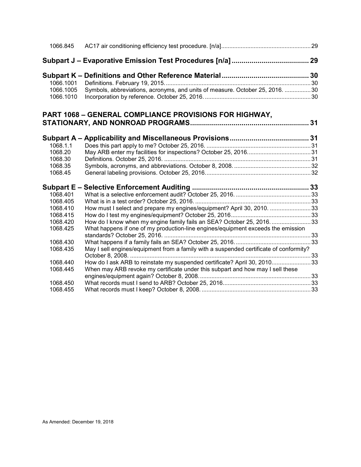| 1066.845   |                                                                                        |  |
|------------|----------------------------------------------------------------------------------------|--|
|            |                                                                                        |  |
|            |                                                                                        |  |
| 1066.1001  |                                                                                        |  |
| 1066.1005  | Symbols, abbreviations, acronyms, and units of measure. October 25, 2016. 30           |  |
| 1066.1010  |                                                                                        |  |
|            | PART 1068 - GENERAL COMPLIANCE PROVISIONS FOR HIGHWAY,                                 |  |
|            |                                                                                        |  |
| Subpart A- |                                                                                        |  |
| 1068.1.1   |                                                                                        |  |
| 1068.20    |                                                                                        |  |
| 1068.30    |                                                                                        |  |
| 1068.35    |                                                                                        |  |
| 1068.45    |                                                                                        |  |
|            |                                                                                        |  |
| 1068.401   |                                                                                        |  |
| 1068.405   |                                                                                        |  |
| 1068.410   | How must I select and prepare my engines/equipment? April 30, 2010. 33                 |  |
| 1068.415   |                                                                                        |  |
| 1068.420   | How do I know when my engine family fails an SEA? October 25, 2016. 33                 |  |
| 1068.425   | What happens if one of my production-line engines/equipment exceeds the emission       |  |
|            |                                                                                        |  |
| 1068.430   |                                                                                        |  |
| 1068.435   | May I sell engines/equipment from a family with a suspended certificate of conformity? |  |
|            |                                                                                        |  |
| 1068.440   | How do I ask ARB to reinstate my suspended certificate? April 30, 201033               |  |
| 1068.445   | When may ARB revoke my certificate under this subpart and how may I sell these         |  |
|            |                                                                                        |  |
| 1068.450   |                                                                                        |  |
| 1068.455   |                                                                                        |  |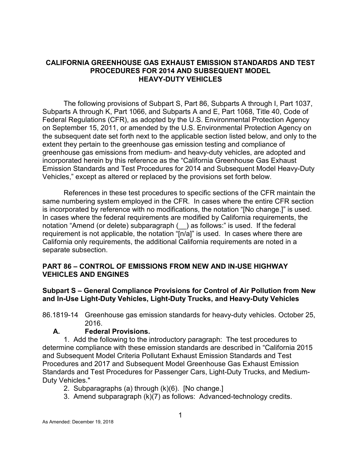#### **CALIFORNIA GREENHOUSE GAS EXHAUST EMISSION STANDARDS AND TEST PROCEDURES FOR 2014 AND SUBSEQUENT MODEL HEAVY-DUTY VEHICLES**

The following provisions of Subpart S, Part 86, Subparts A through I, Part 1037, Subparts A through K, Part 1066, and Subparts A and E, Part 1068, Title 40, Code of Federal Regulations (CFR), as adopted by the U.S. Environmental Protection Agency on September 15, 2011, or amended by the U.S. Environmental Protection Agency on the subsequent date set forth next to the applicable section listed below, and only to the extent they pertain to the greenhouse gas emission testing and compliance of greenhouse gas emissions from medium- and heavy-duty vehicles, are adopted and incorporated herein by this reference as the "California Greenhouse Gas Exhaust Emission Standards and Test Procedures for 2014 and Subsequent Model Heavy-Duty Vehicles," except as altered or replaced by the provisions set forth below.

References in these test procedures to specific sections of the CFR maintain the same numbering system employed in the CFR. In cases where the entire CFR section is incorporated by reference with no modifications, the notation "[No change.]" is used. In cases where the federal requirements are modified by California requirements, the notation "Amend (or delete) subparagraph (\_\_) as follows:" is used. If the federal requirement is not applicable, the notation "[n/a]" is used. In cases where there are California only requirements, the additional California requirements are noted in a separate subsection.

#### <span id="page-7-0"></span>**PART 86 – CONTROL OF EMISSIONS FROM NEW AND IN-USE HIGHWAY VEHICLES AND ENGINES**

#### <span id="page-7-1"></span>**Subpart S – General Compliance Provisions for Control of Air Pollution from New and In-Use Light-Duty Vehicles, Light-Duty Trucks, and Heavy-Duty Vehicles**

<span id="page-7-2"></span>86.1819-14 Greenhouse gas emission standards for heavy-duty vehicles. October 25, 2016.

#### **A. Federal Provisions.**

1. Add the following to the introductory paragraph: The test procedures to determine compliance with these emission standards are described in "California 2015 and Subsequent Model Criteria Pollutant Exhaust Emission Standards and Test Procedures and 2017 and Subsequent Model Greenhouse Gas Exhaust Emission Standards and Test Procedures for Passenger Cars, Light-Duty Trucks, and Medium-Duty Vehicles."

- 2. Subparagraphs (a) through (k)(6). [No change.]
- 3. Amend subparagraph (k)(7) as follows: Advanced-technology credits.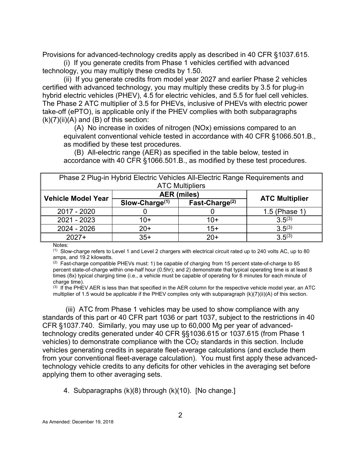Provisions for advanced-technology credits apply as described in 40 CFR §1037.615.

(i) If you generate credits from Phase 1 vehicles certified with advanced technology, you may multiply these credits by 1.50.

(ii) If you generate credits from model year 2027 and earlier Phase 2 vehicles certified with advanced technology, you may multiply these credits by 3.5 for plug-in hybrid electric vehicles (PHEV), 4.5 for electric vehicles, and 5.5 for fuel cell vehicles. The Phase 2 ATC multiplier of 3.5 for PHEVs, inclusive of PHEVs with electric power take-off (ePTO), is applicable only if the PHEV complies with both subparagraphs  $(k)(7)(ii)(A)$  and  $(B)$  of this section:

(A) No increase in oxides of nitrogen (NOx) emissions compared to an equivalent conventional vehicle tested in accordance with 40 CFR §1066.501.B., as modified by these test procedures.

(B) All-electric range (AER) as specified in the table below, tested in accordance with 40 CFR §1066.501.B., as modified by these test procedures.

| Phase 2 Plug-in Hybrid Electric Vehicles All-Electric Range Requirements and |                   |                        |                       |  |  |  |  |
|------------------------------------------------------------------------------|-------------------|------------------------|-----------------------|--|--|--|--|
|                                                                              |                   | <b>ATC Multipliers</b> |                       |  |  |  |  |
| <b>Vehicle Model Year</b>                                                    |                   | <b>AER</b> (miles)     |                       |  |  |  |  |
|                                                                              | Slow-Charge $(1)$ | Fast-Charge $(2)$      | <b>ATC Multiplier</b> |  |  |  |  |
| 2017 - 2020                                                                  |                   |                        | 1.5 (Phase 1)         |  |  |  |  |
| 2021 - 2023                                                                  | $10+$             | 10+                    | $3.5^{(3)}$           |  |  |  |  |
| 2024 - 2026                                                                  | $20+$             | $15+$                  | $3.5^{(3)}$           |  |  |  |  |
| $3.5^{(3)}$<br>$35+$<br>$2027+$<br>$20+$                                     |                   |                        |                       |  |  |  |  |

Notes:

 $(1)$  Slow-charge refers to Level 1 and Level 2 chargers with electrical circuit rated up to 240 volts AC, up to 80 amps, and 19.2 kilowatts.

 $(2)$  Fast-charge compatible PHEVs must: 1) be capable of charging from 15 percent state-of-charge to 85 percent state-of-charge within one-half hour (0.5hr); and 2) demonstrate that typical operating time is at least 8 times (8x) typical charging time (i.e., a vehicle must be capable of operating for 8 minutes for each minute of charge time).

 $(3)$  If the PHEV AER is less than that specified in the AER column for the respective vehicle model year, an ATC multiplier of 1.5 would be applicable if the PHEV complies only with subparagraph (k)(7)(ii)(A) of this section.

(iii) ATC from Phase 1 vehicles may be used to show compliance with any standards of this part or 40 CFR part 1036 or part 1037, subject to the restrictions in 40 CFR §1037.740. Similarly, you may use up to 60,000 Mg per year of advancedtechnology credits generated under 40 CFR §§1036.615 or 1037.615 (from Phase 1 vehicles) to demonstrate compliance with the  $CO<sub>2</sub>$  standards in this section. Include vehicles generating credits in separate fleet-average calculations (and exclude them from your conventional fleet-average calculation). You must first apply these advancedtechnology vehicle credits to any deficits for other vehicles in the averaging set before applying them to other averaging sets.

4. Subparagraphs (k)(8) through (k)(10). [No change.]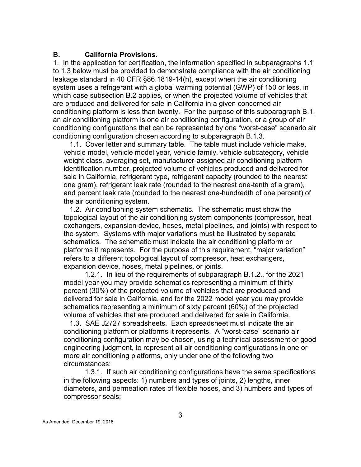#### **B. California Provisions.**

1. In the application for certification, the information specified in subparagraphs 1.1 to 1.3 below must be provided to demonstrate compliance with the air conditioning leakage standard in 40 CFR §86.1819-14(h), except when the air conditioning system uses a refrigerant with a global warming potential (GWP) of 150 or less, in which case subsection B.2 applies, or when the projected volume of vehicles that are produced and delivered for sale in California in a given concerned air conditioning platform is less than twenty. For the purpose of this subparagraph B.1, an air conditioning platform is one air conditioning configuration, or a group of air conditioning configurations that can be represented by one "worst-case" scenario air conditioning configuration chosen according to subparagraph B.1.3.

 1.1. Cover letter and summary table. The table must include vehicle make, vehicle model, vehicle model year, vehicle family, vehicle subcategory, vehicle weight class, averaging set, manufacturer-assigned air conditioning platform identification number, projected volume of vehicles produced and delivered for sale in California, refrigerant type, refrigerant capacity (rounded to the nearest one gram), refrigerant leak rate (rounded to the nearest one-tenth of a gram), and percent leak rate (rounded to the nearest one-hundredth of one percent) of the air conditioning system.

 1.2. Air conditioning system schematic. The schematic must show the topological layout of the air conditioning system components (compressor, heat exchangers, expansion device, hoses, metal pipelines, and joints) with respect to the system. Systems with major variations must be illustrated by separate schematics. The schematic must indicate the air conditioning platform or platforms it represents. For the purpose of this requirement, "major variation" refers to a different topological layout of compressor, heat exchangers, expansion device, hoses, metal pipelines, or joints.

1.2.1. In lieu of the requirements of subparagraph B.1.2., for the 2021 model year you may provide schematics representing a minimum of thirty percent (30%) of the projected volume of vehicles that are produced and delivered for sale in California, and for the 2022 model year you may provide schematics representing a minimum of sixty percent (60%) of the projected volume of vehicles that are produced and delivered for sale in California.

 1.3. SAE J2727 spreadsheets. Each spreadsheet must indicate the air conditioning platform or platforms it represents. A "worst-case" scenario air conditioning configuration may be chosen, using a technical assessment or good engineering judgment, to represent all air conditioning configurations in one or more air conditioning platforms, only under one of the following two circumstances:

1.3.1. If such air conditioning configurations have the same specifications in the following aspects: 1) numbers and types of joints, 2) lengths, inner diameters, and permeation rates of flexible hoses, and 3) numbers and types of compressor seals;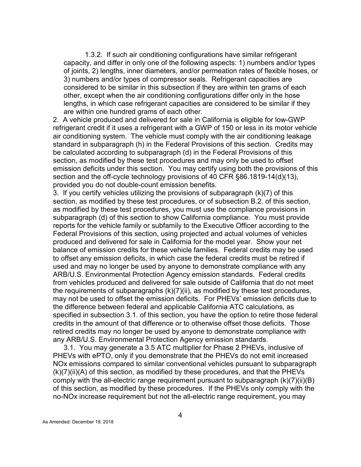1.3.2. If such air conditioning configurations have similar refrigerant capacity, and differ in only one of the following aspects: 1) numbers and/or types of joints, 2) lengths, inner diameters, and/or permeation rates of flexible hoses, or 3) numbers and/or types of compressor seals. Refrigerant capacities are considered to be similar in this subsection if they are within ten grams of each other, except when the air conditioning configurations differ only in the hose lengths, in which case refrigerant capacities are considered to be similar if they are within one hundred grams of each other.

2. A vehicle produced and delivered for sale in California is eligible for low-GWP refrigerant credit if it uses a refrigerant with a GWP of 150 or less in its motor vehicle air conditioning system. The vehicle must comply with the air conditioning leakage standard in subparagraph (h) in the Federal Provisions of this section. Credits may be calculated according to subparagraph (d) in the Federal Provisions of this section, as modified by these test procedures and may only be used to offset emission deficits under this section. You may certify using both the provisions of this section and the off-cycle technology provisions of 40 CFR §86.1819-14(d)(13), provided you do not double-count emission benefits.

3. If you certify vehicles utilizing the provisions of subparagraph (k)(7) of this section, as modified by these test procedures, or of subsection B.2. of this section, as modified by these test procedures, you must use the compliance provisions in subparagraph (d) of this section to show California compliance. You must provide reports for the vehicle family or subfamily to the Executive Officer according to the Federal Provisions of this section, using projected and actual volumes of vehicles produced and delivered for sale in California for the model year. Show your net balance of emission credits for these vehicle families. Federal credits may be used to offset any emission deficits, in which case the federal credits must be retired if used and may no longer be used by anyone to demonstrate compliance with any ARB/U.S. Environmental Protection Agency emission standards. Federal credits from vehicles produced and delivered for sale outside of California that do not meet the requirements of subparagraphs (k)(7)(ii), as modified by these test procedures, may not be used to offset the emission deficits. For PHEVs' emission deficits due to the difference between federal and applicable California ATC calculations, as specified in subsection 3.1. of this section, you have the option to retire those federal credits in the amount of that difference or to otherwise offset those deficits. Those retired credits may no longer be used by anyone to demonstrate compliance with any ARB/U.S. Environmental Protection Agency emission standards.

3.1. You may generate a 3.5 ATC multiplier for Phase 2 PHEVs, inclusive of PHEVs with ePTO, only if you demonstrate that the PHEVs do not emit increased NOx emissions compared to similar conventional vehicles pursuant to subparagraph (k)(7)(ii)(A) of this section, as modified by these procedures, and that the PHEVs comply with the all-electric range requirement pursuant to subparagraph (k)(7)(ii)(B) of this section, as modified by these procedures. If the PHEVs only comply with the no-NOx increase requirement but not the all-electric range requirement, you may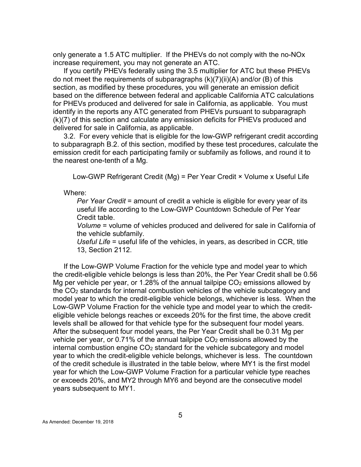only generate a 1.5 ATC multiplier. If the PHEVs do not comply with the no-NOx increase requirement, you may not generate an ATC.

If you certify PHEVs federally using the 3.5 multiplier for ATC but these PHEVs do not meet the requirements of subparagraphs (k)(7)(ii)(A) and/or (B) of this section, as modified by these procedures, you will generate an emission deficit based on the difference between federal and applicable California ATC calculations for PHEVs produced and delivered for sale in California, as applicable. You must identify in the reports any ATC generated from PHEVs pursuant to subparagraph (k)(7) of this section and calculate any emission deficits for PHEVs produced and delivered for sale in California, as applicable.

3.2. For every vehicle that is eligible for the low-GWP refrigerant credit according to subparagraph B.2. of this section, modified by these test procedures, calculate the emission credit for each participating family or subfamily as follows, and round it to the nearest one-tenth of a Mg.

Low-GWP Refrigerant Credit (Mg) = Per Year Credit × Volume x Useful Life

Where:

*Per Year Credit* = amount of credit a vehicle is eligible for every year of its useful life according to the Low-GWP Countdown Schedule of Per Year Credit table.

*Volume* = volume of vehicles produced and delivered for sale in California of the vehicle subfamily.

*Useful Life* = useful life of the vehicles, in years, as described in CCR, title 13, Section 2112.

If the Low-GWP Volume Fraction for the vehicle type and model year to which the credit-eligible vehicle belongs is less than 20%, the Per Year Credit shall be 0.56 Mg per vehicle per year, or 1.28% of the annual tailpipe  $CO<sub>2</sub>$  emissions allowed by the CO2 standards for internal combustion vehicles of the vehicle subcategory and model year to which the credit-eligible vehicle belongs, whichever is less. When the Low-GWP Volume Fraction for the vehicle type and model year to which the crediteligible vehicle belongs reaches or exceeds 20% for the first time, the above credit levels shall be allowed for that vehicle type for the subsequent four model years. After the subsequent four model years, the Per Year Credit shall be 0.31 Mg per vehicle per year, or 0.71% of the annual tailpipe CO<sub>2</sub> emissions allowed by the internal combustion engine  $CO<sub>2</sub>$  standard for the vehicle subcategory and model year to which the credit-eligible vehicle belongs, whichever is less. The countdown of the credit schedule is illustrated in the table below, where MY1 is the first model year for which the Low-GWP Volume Fraction for a particular vehicle type reaches or exceeds 20%, and MY2 through MY6 and beyond are the consecutive model years subsequent to MY1.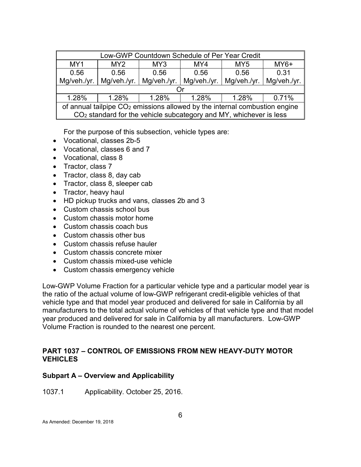| Low-GWP Countdown Schedule of Per Year Credit                                |                                                            |  |                                                                                |             |             |  |  |  |  |
|------------------------------------------------------------------------------|------------------------------------------------------------|--|--------------------------------------------------------------------------------|-------------|-------------|--|--|--|--|
| MY1                                                                          | $MY6+$<br>MY <sub>2</sub><br>MY4<br>MY3<br>MY <sub>5</sub> |  |                                                                                |             |             |  |  |  |  |
| 0.56                                                                         | 0.31<br>0.56<br>0.56<br>0.56<br>0.56                       |  |                                                                                |             |             |  |  |  |  |
| Mg/veh./yr.                                                                  | Mg/veh./yr.                                                |  | Mg/veh./yr.   Mg/veh./yr.                                                      | Mq/veh./vr. | Mg/veh./yr. |  |  |  |  |
|                                                                              |                                                            |  |                                                                                |             |             |  |  |  |  |
| 1.28%<br>1.28%<br>1.28%<br>1.28%<br>0.71%<br>1.28%                           |                                                            |  |                                                                                |             |             |  |  |  |  |
| of annual tailpipe $CO2$ emissions allowed by the internal combustion engine |                                                            |  |                                                                                |             |             |  |  |  |  |
|                                                                              |                                                            |  | CO <sub>2</sub> standard for the vehicle subcategory and MY, whichever is less |             |             |  |  |  |  |

For the purpose of this subsection, vehicle types are:

- Vocational, classes 2b-5
- Vocational, classes 6 and 7
- Vocational, class 8
- Tractor, class 7
- Tractor, class 8, day cab
- Tractor, class 8, sleeper cab
- Tractor, heavy haul
- HD pickup trucks and vans, classes 2b and 3
- Custom chassis school bus
- Custom chassis motor home
- Custom chassis coach bus
- Custom chassis other bus
- Custom chassis refuse hauler
- Custom chassis concrete mixer
- Custom chassis mixed-use vehicle
- Custom chassis emergency vehicle

Low-GWP Volume Fraction for a particular vehicle type and a particular model year is the ratio of the actual volume of low-GWP refrigerant credit-eligible vehicles of that vehicle type and that model year produced and delivered for sale in California by all manufacturers to the total actual volume of vehicles of that vehicle type and that model year produced and delivered for sale in California by all manufacturers. Low-GWP Volume Fraction is rounded to the nearest one percent.

#### <span id="page-12-0"></span>**PART 1037 – CONTROL OF EMISSIONS FROM NEW HEAVY-DUTY MOTOR VEHICLES**

#### <span id="page-12-1"></span>**Subpart A – Overview and Applicability**

<span id="page-12-2"></span>1037.1 Applicability. October 25, 2016.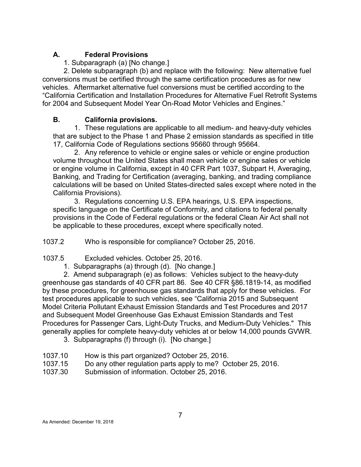# **A. Federal Provisions**

1. Subparagraph (a) [No change.]

2. Delete subparagraph (b) and replace with the following: New alternative fuel conversions must be certified through the same certification procedures as for new vehicles. Aftermarket alternative fuel conversions must be certified according to the "California Certification and Installation Procedures for Alternative Fuel Retrofit Systems for 2004 and Subsequent Model Year On-Road Motor Vehicles and Engines."

# **B. California provisions.**

1. These regulations are applicable to all medium- and heavy-duty vehicles that are subject to the Phase 1 and Phase 2 emission standards as specified in title 17, California Code of Regulations sections 95660 through 95664.

2. Any reference to vehicle or engine sales or vehicle or engine production volume throughout the United States shall mean vehicle or engine sales or vehicle or engine volume in California, except in 40 CFR Part 1037, Subpart H, Averaging, Banking, and Trading for Certification (averaging, banking, and trading compliance calculations will be based on United States-directed sales except where noted in the California Provisions).

3. Regulations concerning U.S. EPA hearings, U.S. EPA inspections, specific language on the Certificate of Conformity, and citations to federal penalty provisions in the Code of Federal regulations or the federal Clean Air Act shall not be applicable to these procedures, except where specifically noted.

<span id="page-13-0"></span>1037.2 Who is responsible for compliance? October 25, 2016.

- <span id="page-13-1"></span>1037.5 Excluded vehicles. October 25, 2016.
	- 1. Subparagraphs (a) through (d). [No change.]

2. Amend subparagraph (e) as follows: Vehicles subject to the heavy-duty greenhouse gas standards of 40 CFR part 86. See 40 CFR §86.1819-14, as modified by these procedures, for greenhouse gas standards that apply for these vehicles. For test procedures applicable to such vehicles, see "California 2015 and Subsequent Model Criteria Pollutant Exhaust Emission Standards and Test Procedures and 2017 and Subsequent Model Greenhouse Gas Exhaust Emission Standards and Test Procedures for Passenger Cars, Light-Duty Trucks, and Medium-Duty Vehicles." This generally applies for complete heavy-duty vehicles at or below 14,000 pounds GVWR.

- 3. Subparagraphs (f) through (i). [No change.]
- <span id="page-13-2"></span>1037.10 How is this part organized? October 25, 2016.
- <span id="page-13-3"></span>1037.15 Do any other regulation parts apply to me? October 25, 2016.
- <span id="page-13-4"></span>1037.30 Submission of information. October 25, 2016.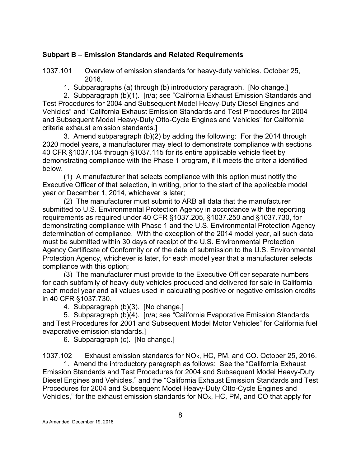#### <span id="page-14-0"></span>**Subpart B – Emission Standards and Related Requirements**

<span id="page-14-1"></span>1037.101 Overview of emission standards for heavy-duty vehicles. October 25, 2016.

1. Subparagraphs (a) through (b) introductory paragraph. [No change.]

2. Subparagraph (b)(1). [n/a; see "California Exhaust Emission Standards and Test Procedures for 2004 and Subsequent Model Heavy-Duty Diesel Engines and Vehicles" and "California Exhaust Emission Standards and Test Procedures for 2004 and Subsequent Model Heavy-Duty Otto-Cycle Engines and Vehicles" for California criteria exhaust emission standards.]

3. Amend subparagraph (b)(2) by adding the following: For the 2014 through 2020 model years, a manufacturer may elect to demonstrate compliance with sections 40 CFR §1037.104 through §1037.115 for its entire applicable vehicle fleet by demonstrating compliance with the Phase 1 program, if it meets the criteria identified below.

(1) A manufacturer that selects compliance with this option must notify the Executive Officer of that selection, in writing, prior to the start of the applicable model year or December 1, 2014, whichever is later;

(2) The manufacturer must submit to ARB all data that the manufacturer submitted to U.S. Environmental Protection Agency in accordance with the reporting requirements as required under 40 CFR §1037.205, §1037.250 and §1037.730, for demonstrating compliance with Phase 1 and the U.S. Environmental Protection Agency determination of compliance. With the exception of the 2014 model year, all such data must be submitted within 30 days of receipt of the U.S. Environmental Protection Agency Certificate of Conformity or of the date of submission to the U.S. Environmental Protection Agency, whichever is later, for each model year that a manufacturer selects compliance with this option;

(3) The manufacturer must provide to the Executive Officer separate numbers for each subfamily of heavy-duty vehicles produced and delivered for sale in California each model year and all values used in calculating positive or negative emission credits in 40 CFR §1037.730.

4. Subparagraph (b)(3). [No change.]

5. Subparagraph (b)(4). [n/a; see "California Evaporative Emission Standards and Test Procedures for 2001 and Subsequent Model Motor Vehicles" for California fuel evaporative emission standards.]

6. Subparagraph (c). [No change.]

<span id="page-14-2"></span>1037.102 Exhaust emission standards for NOX, HC, PM, and CO. October 25, 2016.

1. Amend the introductory paragraph as follows: See the "California Exhaust Emission Standards and Test Procedures for 2004 and Subsequent Model Heavy-Duty Diesel Engines and Vehicles," and the "California Exhaust Emission Standards and Test Procedures for 2004 and Subsequent Model Heavy-Duty Otto-Cycle Engines and Vehicles," for the exhaust emission standards for  $NO<sub>X</sub>$ , HC, PM, and CO that apply for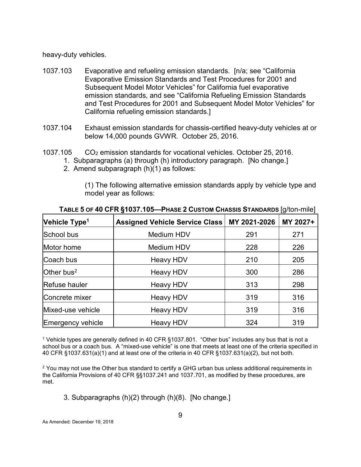heavy-duty vehicles.

- <span id="page-15-0"></span>1037.103 Evaporative and refueling emission standards. [n/a; see "California Evaporative Emission Standards and Test Procedures for 2001 and Subsequent Model Motor Vehicles" for California fuel evaporative emission standards, and see "California Refueling Emission Standards and Test Procedures for 2001 and Subsequent Model Motor Vehicles" for California refueling emission standards.]
- <span id="page-15-1"></span>1037.104 Exhaust emission standards for chassis-certified heavy-duty vehicles at or below 14,000 pounds GVWR. October 25, 2016.
- <span id="page-15-2"></span>1037.105 CO2 emission standards for vocational vehicles. October 25, 2016.
	- 1. Subparagraphs (a) through (h) introductory paragraph. [No change.]
	- 2. Amend subparagraph (h)(1) as follows:

(1) The following alternative emission standards apply by vehicle type and model year as follows:

|                           |                                       |              | -- - Lo <sup>.</sup> 1 |
|---------------------------|---------------------------------------|--------------|------------------------|
| Vehicle Type <sup>1</sup> | <b>Assigned Vehicle Service Class</b> | MY 2021-2026 | MY 2027+               |
| School bus                | Medium HDV                            | 291          | 271                    |
| Motor home                | Medium HDV                            | 228          | 226                    |
| Coach bus                 | Heavy HDV                             | 210          | 205                    |
| Other bus <sup>2</sup>    | Heavy HDV                             | 300          | 286                    |
| <b>Refuse hauler</b>      | <b>Heavy HDV</b>                      | 313          | 298                    |
| Concrete mixer            | <b>Heavy HDV</b>                      | 319          | 316                    |
| Mixed-use vehicle         | <b>Heavy HDV</b>                      | 319          | 316                    |
| Emergency vehicle         | <b>Heavy HDV</b>                      | 324          | 319                    |

**TABLE 5 OF 40 CFR §1037.105—PHASE 2 CUSTOM CHASSIS STANDARDS** [g/ton-mile]

<sup>1</sup> Vehicle types are generally defined in 40 CFR §1037.801. "Other bus" includes any bus that is not a school bus or a coach bus. A "mixed-use vehicle" is one that meets at least one of the criteria specified in 40 CFR §1037.631(a)(1) and at least one of the criteria in 40 CFR §1037.631(a)(2), but not both.

 $2$  You may not use the Other bus standard to certify a GHG urban bus unless additional requirements in the California Provisions of 40 CFR §§1037.241 and 1037.701, as modified by these procedures, are met.

3. Subparagraphs (h)(2) through (h)(8). [No change.]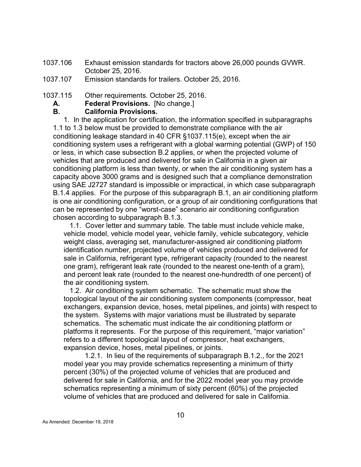<span id="page-16-0"></span>1037.106 Exhaust emission standards for tractors above 26,000 pounds GVWR. October 25, 2016.

<span id="page-16-1"></span>1037.107 Emission standards for trailers. October 25, 2016.

<span id="page-16-2"></span>1037.115 Other requirements. October 25, 2016.

**A. Federal Provisions.** [No change.]

#### **B. California Provisions.**

1. In the application for certification, the information specified in subparagraphs 1.1 to 1.3 below must be provided to demonstrate compliance with the air conditioning leakage standard in 40 CFR §1037.115(e), except when the air conditioning system uses a refrigerant with a global warming potential (GWP) of 150 or less, in which case subsection B.2 applies, or when the projected volume of vehicles that are produced and delivered for sale in California in a given air conditioning platform is less than twenty, or when the air conditioning system has a capacity above 3000 grams and is designed such that a compliance demonstration using SAE J2727 standard is impossible or impractical, in which case subparagraph B.1.4 applies. For the purpose of this subparagraph B.1, an air conditioning platform is one air conditioning configuration, or a group of air conditioning configurations that can be represented by one "worst-case" scenario air conditioning configuration chosen according to subparagraph B.1.3.

 1.1. Cover letter and summary table. The table must include vehicle make, vehicle model, vehicle model year, vehicle family, vehicle subcategory, vehicle weight class, averaging set, manufacturer-assigned air conditioning platform identification number, projected volume of vehicles produced and delivered for sale in California, refrigerant type, refrigerant capacity (rounded to the nearest one gram), refrigerant leak rate (rounded to the nearest one-tenth of a gram), and percent leak rate (rounded to the nearest one-hundredth of one percent) of the air conditioning system.

 1.2. Air conditioning system schematic. The schematic must show the topological layout of the air conditioning system components (compressor, heat exchangers, expansion device, hoses, metal pipelines, and joints) with respect to the system. Systems with major variations must be illustrated by separate schematics. The schematic must indicate the air conditioning platform or platforms it represents. For the purpose of this requirement, "major variation" refers to a different topological layout of compressor, heat exchangers, expansion device, hoses, metal pipelines, or joints.

1.2.1. In lieu of the requirements of subparagraph B.1.2., for the 2021 model year you may provide schematics representing a minimum of thirty percent (30%) of the projected volume of vehicles that are produced and delivered for sale in California, and for the 2022 model year you may provide schematics representing a minimum of sixty percent (60%) of the projected volume of vehicles that are produced and delivered for sale in California.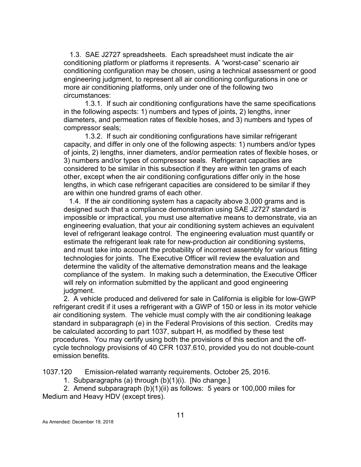1.3. SAE J2727 spreadsheets. Each spreadsheet must indicate the air conditioning platform or platforms it represents. A "worst-case" scenario air conditioning configuration may be chosen, using a technical assessment or good engineering judgment, to represent all air conditioning configurations in one or more air conditioning platforms, only under one of the following two circumstances:

1.3.1. If such air conditioning configurations have the same specifications in the following aspects: 1) numbers and types of joints, 2) lengths, inner diameters, and permeation rates of flexible hoses, and 3) numbers and types of compressor seals;

1.3.2. If such air conditioning configurations have similar refrigerant capacity, and differ in only one of the following aspects: 1) numbers and/or types of joints, 2) lengths, inner diameters, and/or permeation rates of flexible hoses, or 3) numbers and/or types of compressor seals. Refrigerant capacities are considered to be similar in this subsection if they are within ten grams of each other, except when the air conditioning configurations differ only in the hose lengths, in which case refrigerant capacities are considered to be similar if they are within one hundred grams of each other.

1.4. If the air conditioning system has a capacity above 3,000 grams and is designed such that a compliance demonstration using SAE J2727 standard is impossible or impractical, you must use alternative means to demonstrate, via an engineering evaluation, that your air conditioning system achieves an equivalent level of refrigerant leakage control. The engineering evaluation must quantify or estimate the refrigerant leak rate for new-production air conditioning systems, and must take into account the probability of incorrect assembly for various fitting technologies for joints. The Executive Officer will review the evaluation and determine the validity of the alternative demonstration means and the leakage compliance of the system. In making such a determination, the Executive Officer will rely on information submitted by the applicant and good engineering judgment.

2. A vehicle produced and delivered for sale in California is eligible for low-GWP refrigerant credit if it uses a refrigerant with a GWP of 150 or less in its motor vehicle air conditioning system. The vehicle must comply with the air conditioning leakage standard in subparagraph (e) in the Federal Provisions of this section. Credits may be calculated according to part 1037, subpart H, as modified by these test procedures. You may certify using both the provisions of this section and the offcycle technology provisions of 40 CFR 1037.610, provided you do not double-count emission benefits.

<span id="page-17-0"></span>1037.120 Emission-related warranty requirements. October 25, 2016.

1. Subparagraphs (a) through (b)(1)(i). [No change.]

2. Amend subparagraph (b)(1)(ii) as follows: 5 years or 100,000 miles for Medium and Heavy HDV (except tires).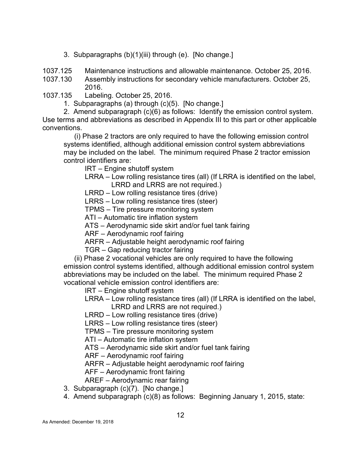3. Subparagraphs (b)(1)(iii) through (e). [No change.]

<span id="page-18-0"></span>1037.125 Maintenance instructions and allowable maintenance. October 25, 2016.

<span id="page-18-1"></span>1037.130 Assembly instructions for secondary vehicle manufacturers. October 25, 2016.

- <span id="page-18-2"></span>1037.135 Labeling. October 25, 2016.
	- 1. Subparagraphs (a) through (c)(5). [No change.]

2. Amend subparagraph (c)(6) as follows: Identify the emission control system. Use terms and abbreviations as described in Appendix III to this part or other applicable

conventions.

(i) Phase 2 tractors are only required to have the following emission control systems identified, although additional emission control system abbreviations may be included on the label. The minimum required Phase 2 tractor emission control identifiers are:

IRT – Engine shutoff system

LRRA – Low rolling resistance tires (all) (If LRRA is identified on the label, LRRD and LRRS are not required.)

LRRD – Low rolling resistance tires (drive)

LRRS – Low rolling resistance tires (steer)

TPMS – Tire pressure monitoring system

ATI – Automatic tire inflation system

ATS – Aerodynamic side skirt and/or fuel tank fairing

ARF – Aerodynamic roof fairing

ARFR – Adjustable height aerodynamic roof fairing

TGR – Gap reducing tractor fairing

(ii) Phase 2 vocational vehicles are only required to have the following emission control systems identified, although additional emission control system abbreviations may be included on the label. The minimum required Phase 2 vocational vehicle emission control identifiers are:

IRT – Engine shutoff system

LRRA – Low rolling resistance tires (all) (If LRRA is identified on the label,

LRRD and LRRS are not required.)

LRRD – Low rolling resistance tires (drive)

LRRS – Low rolling resistance tires (steer)

TPMS – Tire pressure monitoring system

ATI – Automatic tire inflation system

ATS – Aerodynamic side skirt and/or fuel tank fairing

ARF – Aerodynamic roof fairing

ARFR – Adjustable height aerodynamic roof fairing

AFF – Aerodynamic front fairing

AREF – Aerodynamic rear fairing

- 3. Subparagraph (c)(7). [No change.]
- 4. Amend subparagraph (c)(8) as follows: Beginning January 1, 2015, state: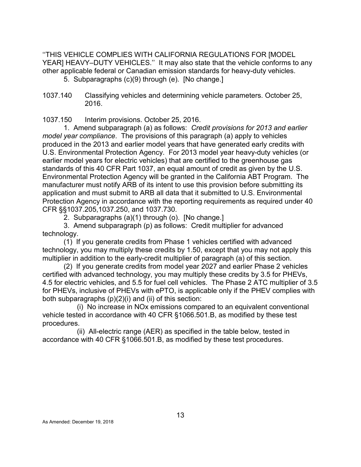''THIS VEHICLE COMPLIES WITH CALIFORNIA REGULATIONS FOR [MODEL YEAR] HEAVY–DUTY VEHICLES." It may also state that the vehicle conforms to any other applicable federal or Canadian emission standards for heavy-duty vehicles.

5. Subparagraphs (c)(9) through (e). [No change.]

<span id="page-19-1"></span>1037.150 Interim provisions. October 25, 2016.

1. Amend subparagraph (a) as follows: *Credit provisions for 2013 and earlier model year compliance*. The provisions of this paragraph (a) apply to vehicles produced in the 2013 and earlier model years that have generated early credits with U.S. Environmental Protection Agency. For 2013 model year heavy-duty vehicles (or earlier model years for electric vehicles) that are certified to the greenhouse gas standards of this 40 CFR Part 1037, an equal amount of credit as given by the U.S. Environmental Protection Agency will be granted in the California ABT Program. The manufacturer must notify ARB of its intent to use this provision before submitting its application and must submit to ARB all data that it submitted to U.S. Environmental Protection Agency in accordance with the reporting requirements as required under 40 CFR §§1037.205,1037.250, and 1037.730.

2. Subparagraphs (a)(1) through (o). [No change.]

3. Amend subparagraph (p) as follows: Credit multiplier for advanced technology.

(1) If you generate credits from Phase 1 vehicles certified with advanced technology, you may multiply these credits by 1.50, except that you may not apply this multiplier in addition to the early-credit multiplier of paragraph (a) of this section.

(2) If you generate credits from model year 2027 and earlier Phase 2 vehicles certified with advanced technology, you may multiply these credits by 3.5 for PHEVs, 4.5 for electric vehicles, and 5.5 for fuel cell vehicles. The Phase 2 ATC multiplier of 3.5 for PHEVs, inclusive of PHEVs with ePTO, is applicable only if the PHEV complies with both subparagraphs (p)(2)(i) and (ii) of this section:

(i) No increase in NOx emissions compared to an equivalent conventional vehicle tested in accordance with 40 CFR §1066.501.B, as modified by these test procedures.

(ii) All-electric range (AER) as specified in the table below, tested in accordance with 40 CFR §1066.501.B, as modified by these test procedures.

<span id="page-19-0"></span><sup>1037.140</sup> Classifying vehicles and determining vehicle parameters. October 25, 2016.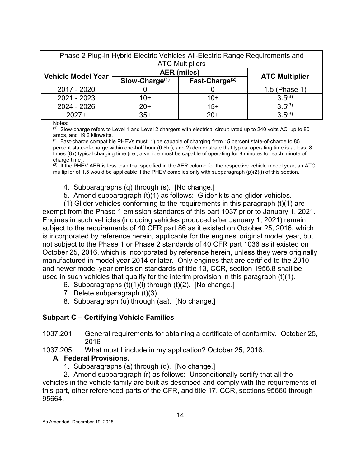| Phase 2 Plug-in Hybrid Electric Vehicles All-Electric Range Requirements and |                  |                        |                       |  |  |  |  |
|------------------------------------------------------------------------------|------------------|------------------------|-----------------------|--|--|--|--|
|                                                                              |                  | <b>ATC Multipliers</b> |                       |  |  |  |  |
| <b>Vehicle Model Year</b>                                                    |                  | <b>AER</b> (miles)     |                       |  |  |  |  |
|                                                                              | $Slow-Change(1)$ | Fast-Charge $(2)$      | <b>ATC Multiplier</b> |  |  |  |  |
| 2017 - 2020                                                                  |                  |                        | 1.5 (Phase 1)         |  |  |  |  |
| 2021 - 2023                                                                  | 10+              | $10+$                  | $3.5^{(3)}$           |  |  |  |  |
| 2024 - 2026                                                                  | $3.5^{(3)}$      |                        |                       |  |  |  |  |
| $3.5^{(3)}$<br>$35+$<br>$2027+$<br>$20+$                                     |                  |                        |                       |  |  |  |  |

Notes:

 $(1)$  Slow-charge refers to Level 1 and Level 2 chargers with electrical circuit rated up to 240 volts AC, up to 80 amps, and 19.2 kilowatts.

 $(2)$  Fast-charge compatible PHEVs must: 1) be capable of charging from 15 percent state-of-charge to 85 percent state-of-charge within one-half hour (0.5hr); and 2) demonstrate that typical operating time is at least 8 times (8x) typical charging time (i.e., a vehicle must be capable of operating for 8 minutes for each minute of charge time).

 $<sup>(3)</sup>$  If the PHEV AER is less than that specified in the AER column for the respective vehicle model year, an ATC</sup> multiplier of 1.5 would be applicable if the PHEV complies only with subparagraph (p)(2)(i) of this section.

- 4. Subparagraphs (q) through (s). [No change.]
- 5. Amend subparagraph (t)(1) as follows: Glider kits and glider vehicles.

(1) Glider vehicles conforming to the requirements in this paragraph (t)(1) are exempt from the Phase 1 emission standards of this part 1037 prior to January 1, 2021. Engines in such vehicles (including vehicles produced after January 1, 2021) remain subject to the requirements of 40 CFR part 86 as it existed on October 25, 2016, which is incorporated by reference herein, applicable for the engines' original model year, but not subject to the Phase 1 or Phase 2 standards of 40 CFR part 1036 as it existed on October 25, 2016, which is incorporated by reference herein, unless they were originally manufactured in model year 2014 or later. Only engines that are certified to the 2010 and newer model-year emission standards of title 13, CCR, section 1956.8 shall be used in such vehicles that qualify for the interim provision in this paragraph (t)(1).

- 6. Subparagraphs  $(t)(1)(i)$  through  $(t)(2)$ . [No change.]
- 7. Delete subparagraph (t)(3).
- 8. Subparagraph (u) through (aa). [No change.]

#### <span id="page-20-0"></span>**Subpart C – Certifying Vehicle Families**

- <span id="page-20-1"></span>1037.201 General requirements for obtaining a certificate of conformity. October 25, 2016
- <span id="page-20-2"></span>1037.205 What must I include in my application? October 25, 2016.

#### **A. Federal Provisions.**

1. Subparagraphs (a) through (q). [No change.]

2. Amend subparagraph (r) as follows: Unconditionally certify that all the vehicles in the vehicle family are built as described and comply with the requirements of this part, other referenced parts of the CFR, and title 17, CCR, sections 95660 through 95664.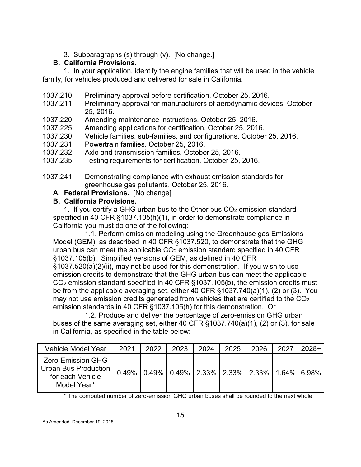3. Subparagraphs (s) through (v). [No change.]

# **B. California Provisions.**

1. In your application, identify the engine families that will be used in the vehicle family, for vehicles produced and delivered for sale in California.

- <span id="page-21-0"></span>1037.210 Preliminary approval before certification. October 25, 2016.
- <span id="page-21-1"></span>1037.211 Preliminary approval for manufacturers of aerodynamic devices. October 25, 2016.
- <span id="page-21-2"></span>1037.220 Amending maintenance instructions. October 25, 2016.
- <span id="page-21-3"></span>1037.225 Amending applications for certification. October 25, 2016.
- <span id="page-21-4"></span>1037.230 Vehicle families, sub-families, and configurations. October 25, 2016.
- <span id="page-21-5"></span>1037.231 Powertrain families. October 25, 2016.
- <span id="page-21-6"></span>1037.232 Axle and transmission families. October 25, 2016.
- <span id="page-21-7"></span>1037.235 Testing requirements for certification. October 25, 2016.
- <span id="page-21-8"></span>1037.241 Demonstrating compliance with exhaust emission standards for greenhouse gas pollutants. October 25, 2016.
	- **A. Federal Provisions.** [No change]

# **B. California Provisions.**

1. If you certify a GHG urban bus to the Other bus  $CO<sub>2</sub>$  emission standard specified in 40 CFR §1037.105(h)(1), in order to demonstrate compliance in California you must do one of the following:

1.1. Perform emission modeling using the Greenhouse gas Emissions Model (GEM), as described in 40 CFR §1037.520, to demonstrate that the GHG urban bus can meet the applicable  $CO<sub>2</sub>$  emission standard specified in 40 CFR §1037.105(b). Simplified versions of GEM, as defined in 40 CFR

§1037.520(a)(2)(ii), may not be used for this demonstration. If you wish to use emission credits to demonstrate that the GHG urban bus can meet the applicable CO2 emission standard specified in 40 CFR §1037.105(b), the emission credits must be from the applicable averaging set, either 40 CFR §1037.740(a)(1), (2) or (3). You may not use emission credits generated from vehicles that are certified to the  $CO<sub>2</sub>$ emission standards in 40 CFR §1037.105(h) for this demonstration. Or

1.2. Produce and deliver the percentage of zero-emission GHG urban buses of the same averaging set, either 40 CFR §1037.740(a)(1), (2) or (3), for sale in California, as specified in the table below:

| <b>Vehicle Model Year</b>                                                           | 2021 | 2022                                                             | 2023 | 2024 | 2025 | 2026 | 2027 | $2028 +$ |
|-------------------------------------------------------------------------------------|------|------------------------------------------------------------------|------|------|------|------|------|----------|
| <b>Zero-Emission GHG</b><br>Urban Bus Production<br>for each Vehicle<br>Model Year* |      | $0.49\%$   0.49%   0.49%   2.33%   2.33%   2.33%   1.64%   6.98% |      |      |      |      |      |          |

\* The computed number of zero-emission GHG urban buses shall be rounded to the next whole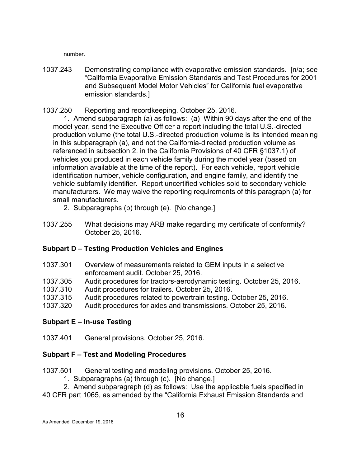number.

<span id="page-22-0"></span>1037.243 Demonstrating compliance with evaporative emission standards. [n/a; see "California Evaporative Emission Standards and Test Procedures for 2001 and Subsequent Model Motor Vehicles" for California fuel evaporative emission standards.]

<span id="page-22-1"></span>1037.250 Reporting and recordkeeping. October 25, 2016.

1. Amend subparagraph (a) as follows: (a) Within 90 days after the end of the model year, send the Executive Officer a report including the total U.S.-directed production volume (the total U.S.-directed production volume is its intended meaning in this subparagraph (a), and not the California-directed production volume as referenced in subsection 2. in the California Provisions of 40 CFR §1037.1) of vehicles you produced in each vehicle family during the model year (based on information available at the time of the report). For each vehicle, report vehicle identification number, vehicle configuration, and engine family, and identify the vehicle subfamily identifier. Report uncertified vehicles sold to secondary vehicle manufacturers. We may waive the reporting requirements of this paragraph (a) for small manufacturers.

- 2. Subparagraphs (b) through (e). [No change.]
- <span id="page-22-2"></span>1037.255 What decisions may ARB make regarding my certificate of conformity? October 25, 2016.

## <span id="page-22-3"></span>**Subpart D – Testing Production Vehicles and Engines**

- <span id="page-22-4"></span>1037.301 Overview of measurements related to GEM inputs in a selective enforcement audit. October 25, 2016.
- <span id="page-22-5"></span>1037.305 Audit procedures for tractors-aerodynamic testing. October 25, 2016.
- <span id="page-22-6"></span>Audit procedures for trailers. October 25, 2016.
- <span id="page-22-7"></span>1037.315 Audit procedures related to powertrain testing. October 25, 2016.
- <span id="page-22-8"></span>1037.320 Audit procedures for axles and transmissions. October 25, 2016.

#### <span id="page-22-9"></span>**Subpart E – In-use Testing**

<span id="page-22-10"></span>1037.401 General provisions. October 25, 2016.

#### <span id="page-22-11"></span>**Subpart F – Test and Modeling Procedures**

<span id="page-22-12"></span>1037.501 General testing and modeling provisions. October 25, 2016.

- 1. Subparagraphs (a) through (c). [No change.]
- 2. Amend subparagraph (d) as follows: Use the applicable fuels specified in

40 CFR part 1065, as amended by the "California Exhaust Emission Standards and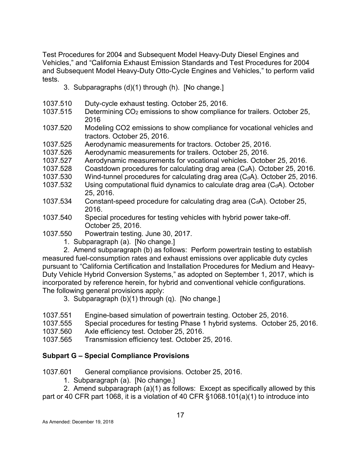Test Procedures for 2004 and Subsequent Model Heavy-Duty Diesel Engines and Vehicles," and "California Exhaust Emission Standards and Test Procedures for 2004 and Subsequent Model Heavy-Duty Otto-Cycle Engines and Vehicles," to perform valid tests.

- 3. Subparagraphs (d)(1) through (h). [No change.]
- <span id="page-23-0"></span>1037.510 Duty-cycle exhaust testing. October 25, 2016.
- <span id="page-23-1"></span>1037.515 Determining CO2 emissions to show compliance for trailers. October 25, 2016
- <span id="page-23-2"></span>1037.520 Modeling CO2 emissions to show compliance for vocational vehicles and tractors. October 25, 2016.
- <span id="page-23-3"></span>1037.525 Aerodynamic measurements for tractors. October 25, 2016.
- <span id="page-23-4"></span>1037.526 Aerodynamic measurements for trailers. October 25, 2016.
- <span id="page-23-5"></span>1037.527 Aerodynamic measurements for vocational vehicles. October 25, 2016.
- <span id="page-23-6"></span>1037.528 Coastdown procedures for calculating drag area  $(C<sub>d</sub>A)$ . October 25, 2016.
- <span id="page-23-7"></span>1037.530 Wind-tunnel procedures for calculating drag area  $(C<sub>d</sub>A)$ . October 25, 2016.
- <span id="page-23-8"></span>1037.532 Using computational fluid dynamics to calculate drag area  $(C<sub>d</sub>A)$ . October 25, 2016.
- <span id="page-23-9"></span>1037.534 Constant-speed procedure for calculating drag area  $(C<sub>d</sub>A)$ . October 25, 2016.
- <span id="page-23-10"></span>1037.540 Special procedures for testing vehicles with hybrid power take-off. October 25, 2016.
- <span id="page-23-11"></span>1037.550 Powertrain testing. June 30, 2017.
	- 1. Subparagraph (a). [No change.]

2. Amend subparagraph (b) as follows: Perform powertrain testing to establish measured fuel-consumption rates and exhaust emissions over applicable duty cycles pursuant to "California Certification and Installation Procedures for Medium and Heavy-Duty Vehicle Hybrid Conversion Systems," as adopted on September 1, 2017, which is incorporated by reference herein, for hybrid and conventional vehicle configurations. The following general provisions apply:

3. Subparagraph (b)(1) through (q). [No change.]

- <span id="page-23-12"></span>1037.551 Engine-based simulation of powertrain testing. October 25, 2016.
- <span id="page-23-13"></span>1037.555 Special procedures for testing Phase 1 hybrid systems. October 25, 2016.
- <span id="page-23-14"></span>1037.560 Axle efficiency test. October 25, 2016.
- <span id="page-23-15"></span>1037.565 Transmission efficiency test. October 25, 2016.

#### <span id="page-23-16"></span>**Subpart G – Special Compliance Provisions**

<span id="page-23-17"></span>1037.601 General compliance provisions. October 25, 2016.

1. Subparagraph (a). [No change.]

2. Amend subparagraph (a)(1) as follows: Except as specifically allowed by this part or 40 CFR part 1068, it is a violation of 40 CFR §1068.101(a)(1) to introduce into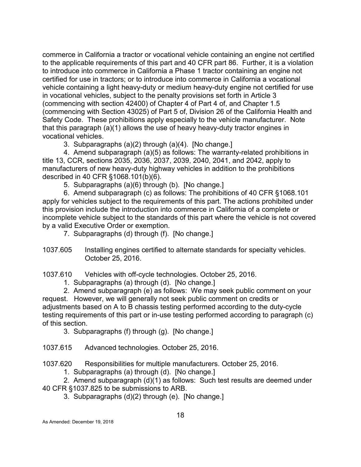commerce in California a tractor or vocational vehicle containing an engine not certified to the applicable requirements of this part and 40 CFR part 86. Further, it is a violation to introduce into commerce in California a Phase 1 tractor containing an engine not certified for use in tractors; or to introduce into commerce in California a vocational vehicle containing a light heavy-duty or medium heavy-duty engine not certified for use in vocational vehicles, subject to the penalty provisions set forth in Article 3 (commencing with section 42400) of Chapter 4 of Part 4 of, and Chapter 1.5 (commencing with Section 43025) of Part 5 of, Division 26 of the California Health and Safety Code. These prohibitions apply especially to the vehicle manufacturer. Note that this paragraph (a)(1) allows the use of heavy heavy-duty tractor engines in vocational vehicles.

3. Subparagraphs (a)(2) through (a)(4). [No change.]

4. Amend subparagraph (a)(5) as follows: The warranty-related prohibitions in title 13, CCR, sections 2035, 2036, 2037, 2039, 2040, 2041, and 2042, apply to manufacturers of new heavy-duty highway vehicles in addition to the prohibitions described in 40 CFR §1068.101(b)(6).

5. Subparagraphs (a)(6) through (b). [No change.]

6. Amend subparagraph (c) as follows: The prohibitions of 40 CFR §1068.101 apply for vehicles subject to the requirements of this part. The actions prohibited under this provision include the introduction into commerce in California of a complete or incomplete vehicle subject to the standards of this part where the vehicle is not covered by a valid Executive Order or exemption.

7. Subparagraphs (d) through (f). [No change.]

<span id="page-24-0"></span>1037.605 Installing engines certified to alternate standards for specialty vehicles. October 25, 2016.

<span id="page-24-1"></span>1037.610 Vehicles with off-cycle technologies. October 25, 2016.

1. Subparagraphs (a) through (d). [No change.]

2. Amend subparagraph (e) as follows: We may seek public comment on your request. However, we will generally not seek public comment on credits or adjustments based on A to B chassis testing performed according to the duty-cycle testing requirements of this part or in-use testing performed according to paragraph (c) of this section.

3. Subparagraphs (f) through (g). [No change.]

<span id="page-24-2"></span>1037.615 Advanced technologies. October 25, 2016.

<span id="page-24-3"></span>1037.620 Responsibilities for multiple manufacturers. October 25, 2016.

1. Subparagraphs (a) through (d). [No change.]

2. Amend subparagraph (d)(1) as follows: Such test results are deemed under 40 CFR §1037.825 to be submissions to ARB.

3. Subparagraphs (d)(2) through (e). [No change.]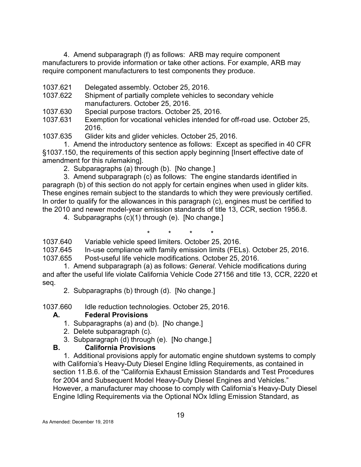4. Amend subparagraph (f) as follows: ARB may require component manufacturers to provide information or take other actions. For example, ARB may require component manufacturers to test components they produce.

- <span id="page-25-0"></span>1037.621 Delegated assembly. October 25, 2016.
- <span id="page-25-1"></span>1037.622 Shipment of partially complete vehicles to secondary vehicle manufacturers. October 25, 2016.
- <span id="page-25-2"></span>1037.630 Special purpose tractors. October 25, 2016.
- <span id="page-25-3"></span>1037.631 Exemption for vocational vehicles intended for off-road use. October 25, 2016.

<span id="page-25-4"></span>1037.635 Glider kits and glider vehicles. October 25, 2016.

1. Amend the introductory sentence as follows: Except as specified in 40 CFR §1037.150, the requirements of this section apply beginning [Insert effective date of amendment for this rulemaking].

2. Subparagraphs (a) through (b). [No change.]

3. Amend subparagraph (c) as follows: The engine standards identified in paragraph (b) of this section do not apply for certain engines when used in glider kits. These engines remain subject to the standards to which they were previously certified. In order to qualify for the allowances in this paragraph (c), engines must be certified to the 2010 and newer model-year emission standards of title 13, CCR, section 1956.8.

4. Subparagraphs (c)(1) through (e). [No change.]

<span id="page-25-5"></span>\* \* \* \* 1037.640 Variable vehicle speed limiters. October 25, 2016.

<span id="page-25-6"></span>1037.645 In-use compliance with family emission limits (FELs). October 25, 2016.

<span id="page-25-7"></span>1037.655 Post-useful life vehicle modifications. October 25, 2016.

1. Amend subparagraph (a) as follows: *General*. Vehicle modifications during and after the useful life violate California Vehicle Code 27156 and title 13, CCR, 2220 et seq.

2. Subparagraphs (b) through (d). [No change.]

<span id="page-25-8"></span>1037.660 Idle reduction technologies. October 25, 2016.

## **A. Federal Provisions**

- 1. Subparagraphs (a) and (b). [No change.]
- 2. Delete subparagraph (c).
- 3. Subparagraph (d) through (e). [No change.]

## **B. California Provisions**

1. Additional provisions apply for automatic engine shutdown systems to comply with California's Heavy-Duty Diesel Engine Idling Requirements, as contained in section 11.B.6. of the "California Exhaust Emission Standards and Test Procedures for 2004 and Subsequent Model Heavy-Duty Diesel Engines and Vehicles." However, a manufacturer may choose to comply with California's Heavy-Duty Diesel Engine Idling Requirements via the Optional NOx Idling Emission Standard, as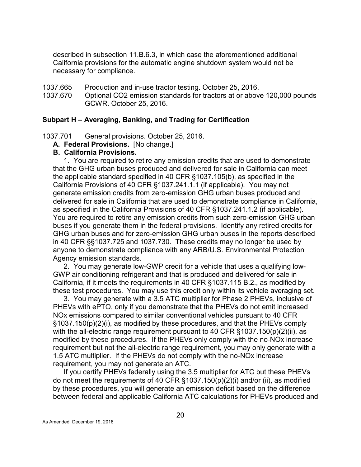described in subsection 11.B.6.3, in which case the aforementioned additional California provisions for the automatic engine shutdown system would not be necessary for compliance.

- <span id="page-26-0"></span>1037.665 Production and in-use tractor testing. October 25, 2016.
- <span id="page-26-1"></span>1037.670 Optional CO2 emission standards for tractors at or above 120,000 pounds GCWR. October 25, 2016.

#### <span id="page-26-2"></span>**Subpart H – Averaging, Banking, and Trading for Certification**

<span id="page-26-3"></span>1037.701 General provisions. October 25, 2016.

**A. Federal Provisions.** [No change.]

#### **B. California Provisions.**

1. You are required to retire any emission credits that are used to demonstrate that the GHG urban buses produced and delivered for sale in California can meet the applicable standard specified in 40 CFR §1037.105(b), as specified in the California Provisions of 40 CFR §1037.241.1.1 (if applicable). You may not generate emission credits from zero-emission GHG urban buses produced and delivered for sale in California that are used to demonstrate compliance in California, as specified in the California Provisions of 40 CFR §1037.241.1.2 (if applicable). You are required to retire any emission credits from such zero-emission GHG urban buses if you generate them in the federal provisions. Identify any retired credits for GHG urban buses and for zero-emission GHG urban buses in the reports described in 40 CFR §§1037.725 and 1037.730. These credits may no longer be used by anyone to demonstrate compliance with any ARB/U.S. Environmental Protection Agency emission standards.

2. You may generate low-GWP credit for a vehicle that uses a qualifying low-GWP air conditioning refrigerant and that is produced and delivered for sale in California, if it meets the requirements in 40 CFR §1037.115 B.2., as modified by these test procedures. You may use this credit only within its vehicle averaging set.

3. You may generate with a 3.5 ATC multiplier for Phase 2 PHEVs, inclusive of PHEVs with ePTO, only if you demonstrate that the PHEVs do not emit increased NOx emissions compared to similar conventional vehicles pursuant to 40 CFR §1037.150(p)(2)(i), as modified by these procedures, and that the PHEVs comply with the all-electric range requirement pursuant to 40 CFR §1037.150(p)(2)(ii), as modified by these procedures. If the PHEVs only comply with the no-NOx increase requirement but not the all-electric range requirement, you may only generate with a 1.5 ATC multiplier. If the PHEVs do not comply with the no-NOx increase requirement, you may not generate an ATC.

If you certify PHEVs federally using the 3.5 multiplier for ATC but these PHEVs do not meet the requirements of 40 CFR §1037.150(p)(2)(i) and/or (ii), as modified by these procedures, you will generate an emission deficit based on the difference between federal and applicable California ATC calculations for PHEVs produced and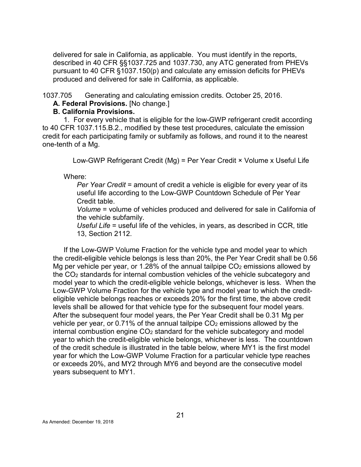delivered for sale in California, as applicable. You must identify in the reports, described in 40 CFR §§1037.725 and 1037.730, any ATC generated from PHEVs pursuant to 40 CFR §1037.150(p) and calculate any emission deficits for PHEVs produced and delivered for sale in California, as applicable.

<span id="page-27-0"></span>1037.705 Generating and calculating emission credits. October 25, 2016.

**A. Federal Provisions.** [No change.]

#### **B. California Provisions.**

1. For every vehicle that is eligible for the low-GWP refrigerant credit according to 40 CFR 1037.115.B.2., modified by these test procedures, calculate the emission credit for each participating family or subfamily as follows, and round it to the nearest one-tenth of a Mg.

Low-GWP Refrigerant Credit (Mg) = Per Year Credit × Volume x Useful Life

Where:

*Per Year Credit* = amount of credit a vehicle is eligible for every year of its useful life according to the Low-GWP Countdown Schedule of Per Year Credit table.

*Volume* = volume of vehicles produced and delivered for sale in California of the vehicle subfamily.

*Useful Life* = useful life of the vehicles, in years, as described in CCR, title 13, Section 2112.

If the Low-GWP Volume Fraction for the vehicle type and model year to which the credit-eligible vehicle belongs is less than 20%, the Per Year Credit shall be 0.56 Mg per vehicle per year, or 1.28% of the annual tailpipe  $CO<sub>2</sub>$  emissions allowed by the CO2 standards for internal combustion vehicles of the vehicle subcategory and model year to which the credit-eligible vehicle belongs, whichever is less. When the Low-GWP Volume Fraction for the vehicle type and model year to which the crediteligible vehicle belongs reaches or exceeds 20% for the first time, the above credit levels shall be allowed for that vehicle type for the subsequent four model years. After the subsequent four model years, the Per Year Credit shall be 0.31 Mg per vehicle per year, or 0.71% of the annual tailpipe  $CO<sub>2</sub>$  emissions allowed by the internal combustion engine  $CO<sub>2</sub>$  standard for the vehicle subcategory and model year to which the credit-eligible vehicle belongs, whichever is less. The countdown of the credit schedule is illustrated in the table below, where MY1 is the first model year for which the Low-GWP Volume Fraction for a particular vehicle type reaches or exceeds 20%, and MY2 through MY6 and beyond are the consecutive model years subsequent to MY1.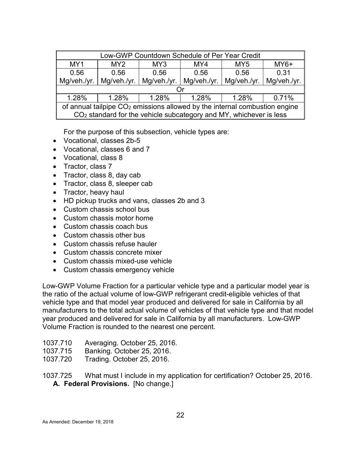| Low-GWP Countdown Schedule of Per Year Credit                                |                                                            |  |                                                                                |             |             |  |  |  |  |
|------------------------------------------------------------------------------|------------------------------------------------------------|--|--------------------------------------------------------------------------------|-------------|-------------|--|--|--|--|
| MY1                                                                          | $MY6+$<br>MY <sub>2</sub><br>MY4<br>MY3<br>MY <sub>5</sub> |  |                                                                                |             |             |  |  |  |  |
| 0.56                                                                         | 0.31<br>0.56<br>0.56<br>0.56<br>0.56                       |  |                                                                                |             |             |  |  |  |  |
| Mg/veh./yr.                                                                  | Mg/veh./yr.                                                |  | Mg/veh./yr.   Mg/veh./yr.                                                      | Mq/veh./vr. | Mg/veh./yr. |  |  |  |  |
|                                                                              |                                                            |  |                                                                                |             |             |  |  |  |  |
| 1.28%<br>1.28%<br>1.28%<br>1.28%<br>0.71%<br>1.28%                           |                                                            |  |                                                                                |             |             |  |  |  |  |
| of annual tailpipe $CO2$ emissions allowed by the internal combustion engine |                                                            |  |                                                                                |             |             |  |  |  |  |
|                                                                              |                                                            |  | CO <sub>2</sub> standard for the vehicle subcategory and MY, whichever is less |             |             |  |  |  |  |

For the purpose of this subsection, vehicle types are:

- Vocational, classes 2b-5
- Vocational, classes 6 and 7
- Vocational, class 8
- Tractor, class 7
- Tractor, class 8, day cab
- Tractor, class 8, sleeper cab
- Tractor, heavy haul
- HD pickup trucks and vans, classes 2b and 3
- Custom chassis school bus
- Custom chassis motor home
- Custom chassis coach bus
- Custom chassis other bus
- Custom chassis refuse hauler
- Custom chassis concrete mixer
- Custom chassis mixed-use vehicle
- Custom chassis emergency vehicle

Low-GWP Volume Fraction for a particular vehicle type and a particular model year is the ratio of the actual volume of low-GWP refrigerant credit-eligible vehicles of that vehicle type and that model year produced and delivered for sale in California by all manufacturers to the total actual volume of vehicles of that vehicle type and that model year produced and delivered for sale in California by all manufacturers. Low-GWP Volume Fraction is rounded to the nearest one percent.

- <span id="page-28-0"></span>1037.710 Averaging. October 25, 2016.
- <span id="page-28-1"></span>1037.715 Banking. October 25, 2016.
- <span id="page-28-2"></span>1037.720 Trading. October 25, 2016.

<span id="page-28-3"></span>1037.725 What must I include in my application for certification? October 25, 2016. **A. Federal Provisions.** [No change.]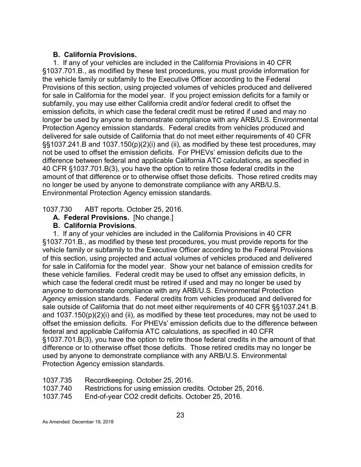#### **B. California Provisions.**

1. If any of your vehicles are included in the California Provisions in 40 CFR §1037.701.B., as modified by these test procedures, you must provide information for the vehicle family or subfamily to the Executive Officer according to the Federal Provisions of this section, using projected volumes of vehicles produced and delivered for sale in California for the model year. If you project emission deficits for a family or subfamily, you may use either California credit and/or federal credit to offset the emission deficits, in which case the federal credit must be retired if used and may no longer be used by anyone to demonstrate compliance with any ARB/U.S. Environmental Protection Agency emission standards. Federal credits from vehicles produced and delivered for sale outside of California that do not meet either requirements of 40 CFR §§1037.241.B and 1037.150(p)(2)(i) and (ii), as modified by these test procedures, may not be used to offset the emission deficits. For PHEVs' emission deficits due to the difference between federal and applicable California ATC calculations, as specified in 40 CFR §1037.701.B(3), you have the option to retire those federal credits in the amount of that difference or to otherwise offset those deficits. Those retired credits may no longer be used by anyone to demonstrate compliance with any ARB/U.S. Environmental Protection Agency emission standards.

<span id="page-29-0"></span>1037.730 ABT reports. October 25, 2016.

**A. Federal Provisions.** [No change.]

#### **B. California Provisions**.

1. If any of your vehicles are included in the California Provisions in 40 CFR §1037.701.B., as modified by these test procedures, you must provide reports for the vehicle family or subfamily to the Executive Officer according to the Federal Provisions of this section, using projected and actual volumes of vehicles produced and delivered for sale in California for the model year. Show your net balance of emission credits for these vehicle families. Federal credit may be used to offset any emission deficits, in which case the federal credit must be retired if used and may no longer be used by anyone to demonstrate compliance with any ARB/U.S. Environmental Protection Agency emission standards. Federal credits from vehicles produced and delivered for sale outside of California that do not meet either requirements of 40 CFR §§1037.241.B. and 1037.150(p)(2)(i) and (ii), as modified by these test procedures, may not be used to offset the emission deficits. For PHEVs' emission deficits due to the difference between federal and applicable California ATC calculations, as specified in 40 CFR §1037.701.B(3), you have the option to retire those federal credits in the amount of that difference or to otherwise offset those deficits. Those retired credits may no longer be used by anyone to demonstrate compliance with any ARB/U.S. Environmental Protection Agency emission standards.

- <span id="page-29-1"></span>1037.735 Recordkeeping. October 25, 2016.
- <span id="page-29-2"></span>1037.740 Restrictions for using emission credits. October 25, 2016.
- <span id="page-29-3"></span>1037.745 End-of-year CO2 credit deficits. October 25, 2016.

As Amended: December 19, 2018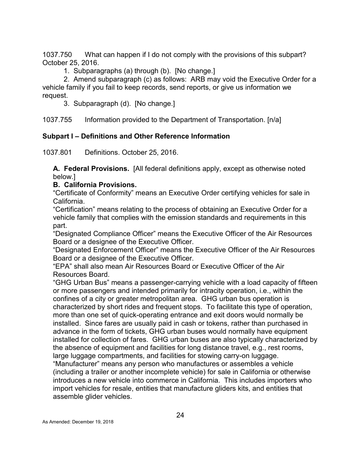<span id="page-30-0"></span>1037.750 What can happen if I do not comply with the provisions of this subpart? October 25, 2016.

1. Subparagraphs (a) through (b). [No change.]

2. Amend subparagraph (c) as follows: ARB may void the Executive Order for a vehicle family if you fail to keep records, send reports, or give us information we request.

3. Subparagraph (d). [No change.]

<span id="page-30-1"></span>1037.755 Information provided to the Department of Transportation. [n/a]

## <span id="page-30-2"></span>**Subpart I – Definitions and Other Reference Information**

<span id="page-30-3"></span>1037.801 Definitions. October 25, 2016.

**A. Federal Provisions.** [All federal definitions apply, except as otherwise noted below.]

### **B. California Provisions.**

"Certificate of Conformity" means an Executive Order certifying vehicles for sale in California.

"Certification" means relating to the process of obtaining an Executive Order for a vehicle family that complies with the emission standards and requirements in this part.

"Designated Compliance Officer" means the Executive Officer of the Air Resources Board or a designee of the Executive Officer.

"Designated Enforcement Officer" means the Executive Officer of the Air Resources Board or a designee of the Executive Officer.

"EPA" shall also mean Air Resources Board or Executive Officer of the Air Resources Board.

"GHG Urban Bus" means a passenger-carrying vehicle with a load capacity of fifteen or more passengers and intended primarily for intracity operation, i.e., within the confines of a city or greater metropolitan area. GHG urban bus operation is characterized by short rides and frequent stops. To facilitate this type of operation, more than one set of quick-operating entrance and exit doors would normally be installed. Since fares are usually paid in cash or tokens, rather than purchased in advance in the form of tickets, GHG urban buses would normally have equipment installed for collection of fares. GHG urban buses are also typically characterized by the absence of equipment and facilities for long distance travel, e.g., rest rooms, large luggage compartments, and facilities for stowing carry-on luggage. "Manufacturer" means any person who manufactures or assembles a vehicle (including a trailer or another incomplete vehicle) for sale in California or otherwise introduces a new vehicle into commerce in California. This includes importers who import vehicles for resale, entities that manufacture gliders kits, and entities that assemble glider vehicles.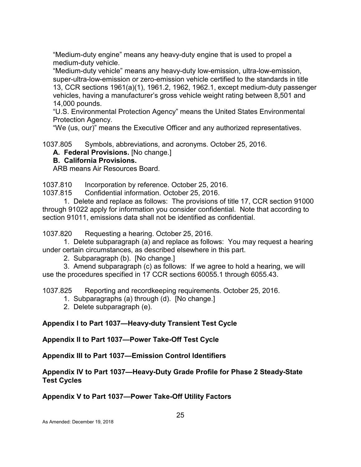"Medium-duty engine" means any heavy-duty engine that is used to propel a medium-duty vehicle.

"Medium-duty vehicle" means any heavy-duty low-emission, ultra-low-emission, super-ultra-low-emission or zero-emission vehicle certified to the standards in title 13, CCR sections 1961(a)(1), 1961.2, 1962, 1962.1, except medium-duty passenger vehicles, having a manufacturer's gross vehicle weight rating between 8,501 and 14,000 pounds.

"U.S. Environmental Protection Agency" means the United States Environmental Protection Agency.

"We (us, our)" means the Executive Officer and any authorized representatives.

<span id="page-31-0"></span>1037.805 Symbols, abbreviations, and acronyms. October 25, 2016.

**A. Federal Provisions.** [No change.]

### **B. California Provisions.**

ARB means Air Resources Board.

<span id="page-31-1"></span>1037.810 Incorporation by reference. October 25, 2016.

<span id="page-31-2"></span>1037.815 Confidential information. October 25, 2016.

1. Delete and replace as follows: The provisions of title 17, CCR section 91000 through 91022 apply for information you consider confidential. Note that according to section 91011, emissions data shall not be identified as confidential.

<span id="page-31-3"></span>1037.820 Requesting a hearing. October 25, 2016.

1. Delete subparagraph (a) and replace as follows: You may request a hearing under certain circumstances, as described elsewhere in this part.

2. Subparagraph (b). [No change.]

3. Amend subparagraph (c) as follows: If we agree to hold a hearing, we will use the procedures specified in 17 CCR sections 60055.1 through 6055.43.

<span id="page-31-4"></span>1037.825 Reporting and recordkeeping requirements. October 25, 2016.

- 1. Subparagraphs (a) through (d). [No change.]
- 2. Delete subparagraph (e).

## <span id="page-31-5"></span>**Appendix I to Part 1037—Heavy-duty Transient Test Cycle**

<span id="page-31-6"></span>**Appendix II to Part 1037—Power Take-Off Test Cycle**

<span id="page-31-7"></span>**Appendix III to Part 1037—Emission Control Identifiers**

### **Appendix IV to Part 1037—Heavy-Duty Grade Profile for Phase 2 Steady-State Test Cycles**

**Appendix V to Part 1037—Power Take-Off Utility Factors**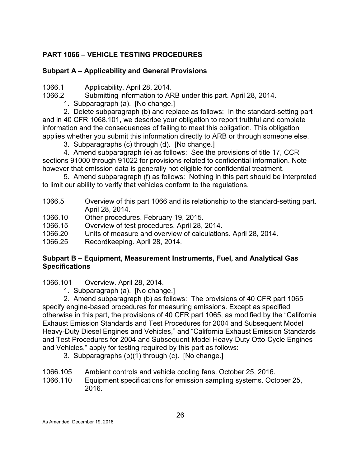# <span id="page-32-0"></span>**PART 1066 – VEHICLE TESTING PROCEDURES**

## <span id="page-32-1"></span>**Subpart A – Applicability and General Provisions**

<span id="page-32-2"></span>1066.1 Applicability. April 28, 2014.

- <span id="page-32-3"></span>1066.2 Submitting information to ARB under this part. April 28, 2014.
	- 1. Subparagraph (a). [No change.]

2. Delete subparagraph (b) and replace as follows: In the standard-setting part and in 40 CFR 1068.101, we describe your obligation to report truthful and complete information and the consequences of failing to meet this obligation. This obligation applies whether you submit this information directly to ARB or through someone else.

3. Subparagraphs (c) through (d). [No change.]

4. Amend subparagraph (e) as follows: See the provisions of title 17, CCR sections 91000 through 91022 for provisions related to confidential information. Note however that emission data is generally not eligible for confidential treatment.

5. Amend subparagraph (f) as follows: Nothing in this part should be interpreted to limit our ability to verify that vehicles conform to the regulations.

- <span id="page-32-4"></span>1066.5 Overview of this part 1066 and its relationship to the standard-setting part. April 28, 2014.
- <span id="page-32-5"></span>1066.10 Other procedures. February 19, 2015.
- <span id="page-32-6"></span>1066.15 Overview of test procedures. April 28, 2014.
- <span id="page-32-7"></span>1066.20 Units of measure and overview of calculations. April 28, 2014.
- <span id="page-32-8"></span>1066.25 Recordkeeping. April 28, 2014.

### <span id="page-32-9"></span>**Subpart B – Equipment, Measurement Instruments, Fuel, and Analytical Gas Specifications**

<span id="page-32-10"></span>1066.101 Overview. April 28, 2014.

1. Subparagraph (a). [No change.]

2. Amend subparagraph (b) as follows: The provisions of 40 CFR part 1065 specify engine-based procedures for measuring emissions. Except as specified otherwise in this part, the provisions of 40 CFR part 1065, as modified by the "California Exhaust Emission Standards and Test Procedures for 2004 and Subsequent Model Heavy-Duty Diesel Engines and Vehicles," and "California Exhaust Emission Standards and Test Procedures for 2004 and Subsequent Model Heavy-Duty Otto-Cycle Engines and Vehicles," apply for testing required by this part as follows:

- 3. Subparagraphs (b)(1) through (c). [No change.]
- <span id="page-32-11"></span>1066.105 Ambient controls and vehicle cooling fans. October 25, 2016.
- <span id="page-32-12"></span>Equipment specifications for emission sampling systems. October 25, 2016.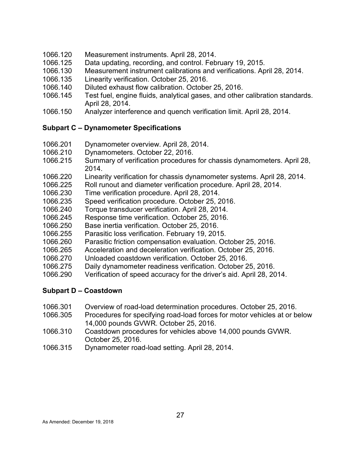- <span id="page-33-0"></span>1066.120 Measurement instruments. April 28, 2014.
- <span id="page-33-1"></span>1066.125 Data updating, recording, and control. February 19, 2015.
- <span id="page-33-2"></span>1066.130 Measurement instrument calibrations and verifications. April 28, 2014.
- <span id="page-33-3"></span>1066.135 Linearity verification. October 25, 2016.
- <span id="page-33-4"></span>1066.140 Diluted exhaust flow calibration. October 25, 2016.
- <span id="page-33-5"></span>1066.145 Test fuel, engine fluids, analytical gases, and other calibration standards. April 28, 2014.
- <span id="page-33-6"></span>1066.150 Analyzer interference and quench verification limit. April 28, 2014.

#### <span id="page-33-7"></span>**Subpart C – Dynamometer Specifications**

- <span id="page-33-8"></span>1066.201 Dynamometer overview. April 28, 2014.
- <span id="page-33-9"></span>1066.210 Dynamometers. October 22, 2016.
- <span id="page-33-10"></span>1066.215 Summary of verification procedures for chassis dynamometers. April 28, 2014.
- <span id="page-33-11"></span>1066.220 Linearity verification for chassis dynamometer systems. April 28, 2014.
- <span id="page-33-12"></span>1066.225 Roll runout and diameter verification procedure. April 28, 2014.
- <span id="page-33-13"></span>1066.230 Time verification procedure. April 28, 2014.
- <span id="page-33-14"></span>1066.235 Speed verification procedure. October 25, 2016.
- <span id="page-33-15"></span>1066.240 Torque transducer verification. April 28, 2014.
- <span id="page-33-16"></span>1066.245 Response time verification. October 25, 2016.
- <span id="page-33-17"></span>1066.250 Base inertia verification. October 25, 2016.
- <span id="page-33-18"></span>1066.255 Parasitic loss verification. February 19, 2015.
- <span id="page-33-19"></span>1066.260 Parasitic friction compensation evaluation. October 25, 2016.
- <span id="page-33-20"></span>1066.265 Acceleration and deceleration verification. October 25, 2016.
- <span id="page-33-21"></span>1066.270 Unloaded coastdown verification. October 25, 2016.
- <span id="page-33-22"></span>1066.275 Daily dynamometer readiness verification. October 25, 2016.
- <span id="page-33-23"></span>1066.290 Verification of speed accuracy for the driver's aid. April 28, 2014.

#### <span id="page-33-24"></span>**Subpart D – Coastdown**

- <span id="page-33-25"></span>1066.301 Overview of road-load determination procedures. October 25, 2016.
- <span id="page-33-26"></span>1066.305 Procedures for specifying road-load forces for motor vehicles at or below 14,000 pounds GVWR. October 25, 2016.
- <span id="page-33-27"></span>1066.310 Coastdown procedures for vehicles above 14,000 pounds GVWR. October 25, 2016.
- 1066.315 Dynamometer road-load setting. April 28, 2014.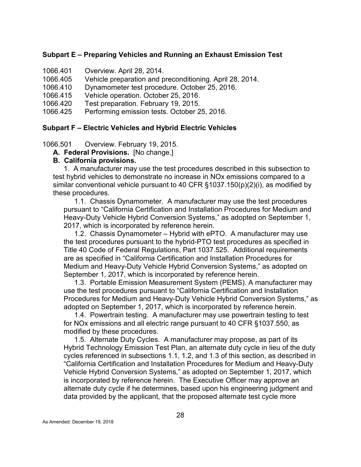#### <span id="page-34-0"></span>**Subpart E – Preparing Vehicles and Running an Exhaust Emission Test**

- <span id="page-34-1"></span>1066.401 Overview. April 28, 2014.
- <span id="page-34-2"></span>1066.405 Vehicle preparation and preconditioning. April 28, 2014.
- <span id="page-34-3"></span>1066.410 Dynamometer test procedure. October 25, 2016.
- 1066.415 Vehicle operation. October 25, 2016.
- <span id="page-34-4"></span>1066.420 Test preparation. February 19, 2015.
- <span id="page-34-5"></span>1066.425 Performing emission tests. October 25, 2016.

#### <span id="page-34-6"></span>**Subpart F – Electric Vehicles and Hybrid Electric Vehicles**

<span id="page-34-7"></span>1066.501 Overview. February 19, 2015.

**A. Federal Provisions.** [No change.]

#### **B. California provisions.**

1. A manufacturer may use the test procedures described in this subsection to test hybrid vehicles to demonstrate no increase in NOx emissions compared to a similar conventional vehicle pursuant to 40 CFR §1037.150(p)(2)(i), as modified by these procedures.

1.1. Chassis Dynamometer. A manufacturer may use the test procedures pursuant to "California Certification and Installation Procedures for Medium and Heavy-Duty Vehicle Hybrid Conversion Systems," as adopted on September 1, 2017, which is incorporated by reference herein.

1.2. Chassis Dynamometer – Hybrid with ePTO. A manufacturer may use the test procedures pursuant to the hybrid-PTO test procedures as specified in Title 40 Code of Federal Regulations, Part 1037.525. Additional requirements are as specified in "California Certification and Installation Procedures for Medium and Heavy-Duty Vehicle Hybrid Conversion Systems," as adopted on September 1, 2017, which is incorporated by reference herein.

1.3. Portable Emission Measurement System (PEMS). A manufacturer may use the test procedures pursuant to "California Certification and Installation Procedures for Medium and Heavy-Duty Vehicle Hybrid Conversion Systems," as adopted on September 1, 2017, which is incorporated by reference herein.

1.4. Powertrain testing. A manufacturer may use powertrain testing to test for NOx emissions and all electric range pursuant to 40 CFR §1037.550, as modified by these procedures.

1.5. Alternate Duty Cycles. A manufacturer may propose, as part of its Hybrid Technology Emission Test Plan, an alternate duty cycle in lieu of the duty cycles referenced in subsections 1.1, 1.2, and 1.3 of this section, as described in "California Certification and Installation Procedures for Medium and Heavy-Duty Vehicle Hybrid Conversion Systems," as adopted on September 1, 2017, which is incorporated by reference herein. The Executive Officer may approve an alternate duty cycle if he determines, based upon his engineering judgment and data provided by the applicant, that the proposed alternate test cycle more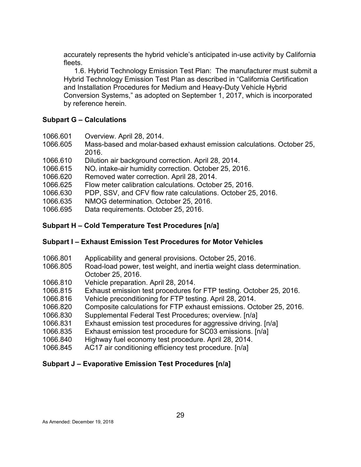accurately represents the hybrid vehicle's anticipated in-use activity by California fleets.

1.6. Hybrid Technology Emission Test Plan: The manufacturer must submit a Hybrid Technology Emission Test Plan as described in "California Certification and Installation Procedures for Medium and Heavy-Duty Vehicle Hybrid Conversion Systems," as adopted on September 1, 2017, which is incorporated by reference herein.

#### <span id="page-35-0"></span>**Subpart G – Calculations**

- <span id="page-35-1"></span>1066.601 Overview. April 28, 2014.
- 1066.605 Mass-based and molar-based exhaust emission calculations. October 25, 2016.
- <span id="page-35-2"></span>1066.610 Dilution air background correction. April 28, 2014.
- 1066.615  $NO_x$  intake-air humidity correction. October 25, 2016.
- 1066.620 Removed water correction. April 28, 2014.
- 1066.625 Flow meter calibration calculations. October 25, 2016.
- 1066.630 PDP, SSV, and CFV flow rate calculations. October 25, 2016.
- 1066.635 NMOG determination. October 25, 2016.
- 1066.695 Data requirements. October 25, 2016.

## <span id="page-35-3"></span>**Subpart H – Cold Temperature Test Procedures [n/a]**

## <span id="page-35-4"></span>**Subpart I – Exhaust Emission Test Procedures for Motor Vehicles**

- <span id="page-35-5"></span>1066.801 Applicability and general provisions. October 25, 2016.
- <span id="page-35-6"></span>1066.805 Road-load power, test weight, and inertia weight class determination. October 25, 2016.
- <span id="page-35-7"></span>1066.810 Vehicle preparation. April 28, 2014.
- <span id="page-35-8"></span>1066.815 Exhaust emission test procedures for FTP testing. October 25, 2016.
- <span id="page-35-9"></span>1066.816 Vehicle preconditioning for FTP testing. April 28, 2014.
- <span id="page-35-10"></span>1066.820 Composite calculations for FTP exhaust emissions. October 25, 2016.
- <span id="page-35-11"></span>1066.830 Supplemental Federal Test Procedures; overview. [n/a]
- <span id="page-35-12"></span>1066.831 Exhaust emission test procedures for aggressive driving. [n/a]
- <span id="page-35-13"></span>1066.835 Exhaust emission test procedure for SC03 emissions. [n/a]
- <span id="page-35-14"></span>1066.840 Highway fuel economy test procedure. April 28, 2014.
- <span id="page-35-15"></span>1066.845 AC17 air conditioning efficiency test procedure. [n/a]

## <span id="page-35-16"></span>**Subpart J – Evaporative Emission Test Procedures [n/a]**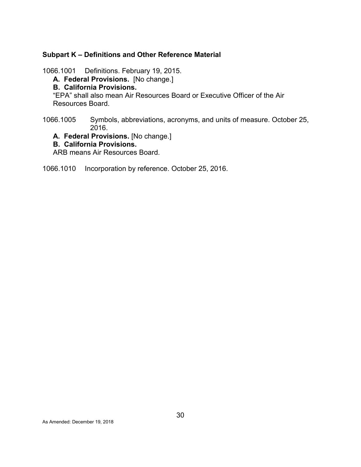#### <span id="page-36-0"></span>**Subpart K – Definitions and Other Reference Material**

- <span id="page-36-1"></span>1066.1001 Definitions. February 19, 2015.
	- **A. Federal Provisions.** [No change.]

#### **B. California Provisions.**

"EPA" shall also mean Air Resources Board or Executive Officer of the Air Resources Board.

<span id="page-36-2"></span>1066.1005 Symbols, abbreviations, acronyms, and units of measure. October 25, 2016.

**A. Federal Provisions.** [No change.]

#### **B. California Provisions.**

ARB means Air Resources Board.

#### <span id="page-36-3"></span>1066.1010 Incorporation by reference. October 25, 2016.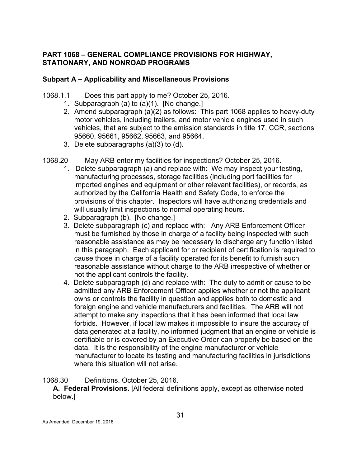# <span id="page-37-0"></span>**PART 1068 – GENERAL COMPLIANCE PROVISIONS FOR HIGHWAY, STATIONARY, AND NONROAD PROGRAMS**

### <span id="page-37-1"></span>**Subpart A – Applicability and Miscellaneous Provisions**

- <span id="page-37-2"></span>1068.1.1 Does this part apply to me? October 25, 2016.
	- 1. Subparagraph (a) to (a)(1). [No change.]
	- 2. Amend subparagraph (a)(2) as follows: This part 1068 applies to heavy-duty motor vehicles, including trailers, and motor vehicle engines used in such vehicles, that are subject to the emission standards in title 17, CCR, sections 95660, 95661, 95662, 95663, and 95664.
	- 3. Delete subparagraphs (a)(3) to (d).
- <span id="page-37-3"></span>1068.20 May ARB enter my facilities for inspections? October 25, 2016.
	- 1. Delete subparagraph (a) and replace with: We may inspect your testing, manufacturing processes, storage facilities (including port facilities for imported engines and equipment or other relevant facilities), or records, as authorized by the California Health and Safety Code, to enforce the provisions of this chapter. Inspectors will have authorizing credentials and will usually limit inspections to normal operating hours.
	- 2. Subparagraph (b). [No change.]
	- 3. Delete subparagraph (c) and replace with: Any ARB Enforcement Officer must be furnished by those in charge of a facility being inspected with such reasonable assistance as may be necessary to discharge any function listed in this paragraph. Each applicant for or recipient of certification is required to cause those in charge of a facility operated for its benefit to furnish such reasonable assistance without charge to the ARB irrespective of whether or not the applicant controls the facility.
	- 4. Delete subparagraph (d) and replace with: The duty to admit or cause to be admitted any ARB Enforcement Officer applies whether or not the applicant owns or controls the facility in question and applies both to domestic and foreign engine and vehicle manufacturers and facilities. The ARB will not attempt to make any inspections that it has been informed that local law forbids. However, if local law makes it impossible to insure the accuracy of data generated at a facility, no informed judgment that an engine or vehicle is certifiable or is covered by an Executive Order can properly be based on the data. It is the responsibility of the engine manufacturer or vehicle manufacturer to locate its testing and manufacturing facilities in jurisdictions where this situation will not arise.

<span id="page-37-4"></span>1068.30 Definitions. October 25, 2016.

**A. Federal Provisions.** [All federal definitions apply, except as otherwise noted below.]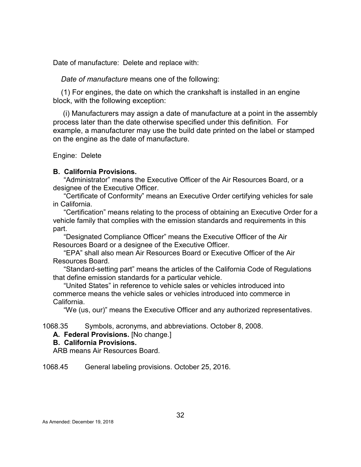Date of manufacture: Delete and replace with:

*Date of manufacture* means one of the following:

(1) For engines, the date on which the crankshaft is installed in an engine block, with the following exception:

(i) Manufacturers may assign a date of manufacture at a point in the assembly process later than the date otherwise specified under this definition. For example, a manufacturer may use the build date printed on the label or stamped on the engine as the date of manufacture.

Engine: Delete

#### **B. California Provisions.**

"Administrator" means the Executive Officer of the Air Resources Board, or a designee of the Executive Officer.

"Certificate of Conformity" means an Executive Order certifying vehicles for sale in California.

"Certification" means relating to the process of obtaining an Executive Order for a vehicle family that complies with the emission standards and requirements in this part.

"Designated Compliance Officer" means the Executive Officer of the Air Resources Board or a designee of the Executive Officer.

"EPA" shall also mean Air Resources Board or Executive Officer of the Air Resources Board.

"Standard-setting part" means the articles of the California Code of Regulations that define emission standards for a particular vehicle.

"United States" in reference to vehicle sales or vehicles introduced into commerce means the vehicle sales or vehicles introduced into commerce in California.

"We (us, our)" means the Executive Officer and any authorized representatives.

<span id="page-38-0"></span>1068.35 Symbols, acronyms, and abbreviations. October 8, 2008.

**A. Federal Provisions.** [No change.]

#### **B. California Provisions.**

ARB means Air Resources Board.

<span id="page-38-1"></span>1068.45 General labeling provisions. October 25, 2016.